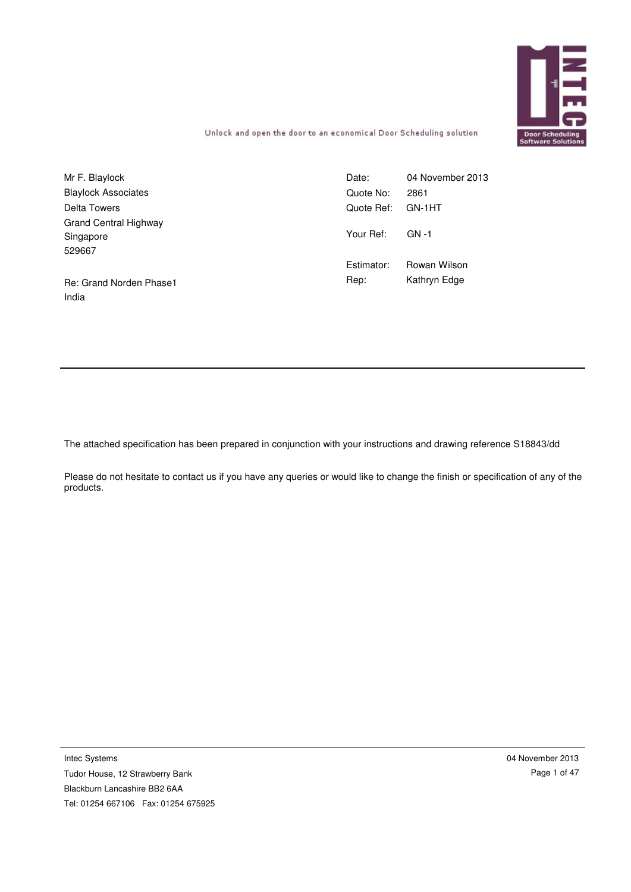

Unlock and open the door to an economical Door Scheduling solution

| Mr F. Blaylock             | Date:      | 04 November 2013 |
|----------------------------|------------|------------------|
| <b>Blaylock Associates</b> | Quote No:  | 2861             |
| Delta Towers               | Quote Ref: | GN-1HT           |
| Grand Central Highway      |            |                  |
| Singapore                  | Your Ref:  | $GN - 1$         |
| 529667                     |            |                  |
|                            | Estimator: | Rowan Wilson     |
| Re: Grand Norden Phase1    | Rep:       | Kathryn Edge     |
| India                      |            |                  |

The attached specification has been prepared in conjunction with your instructions and drawing reference S18843/dd

Please do not hesitate to contact us if you have any queries or would like to change the finish or specification of any of the products.

Intec Systems

Tudor House, 12 Strawberry Bank Blackburn Lancashire BB2 6AA Tel: 01254 667106 Fax: 01254 675925 04 November 2013 Page 1 of 47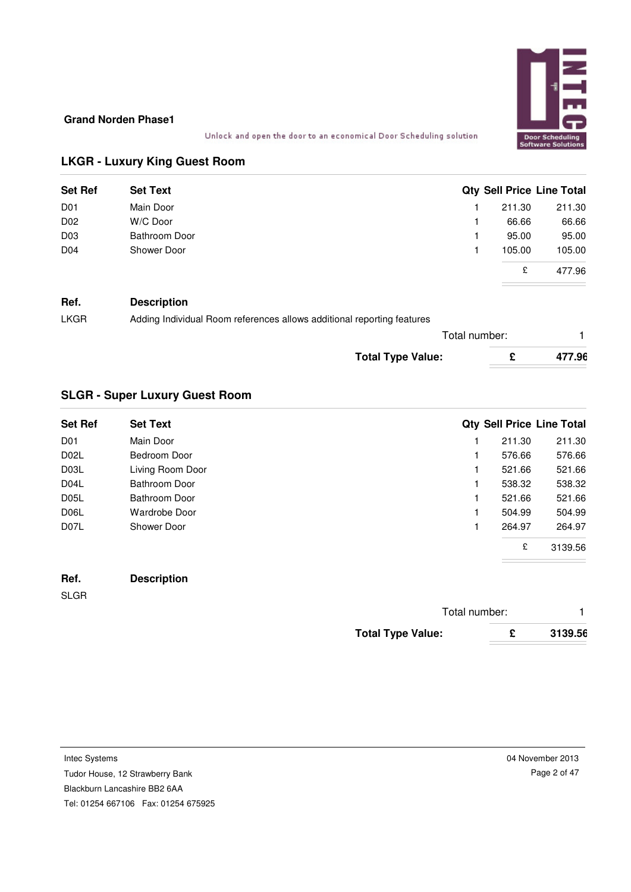

Unlock and open the door to an economical Door Scheduling solution

# **LKGR - Luxury King Guest Room**

| <b>Set Ref</b>  | <b>Set Text</b>      |        | <b>Qty Sell Price Line Total</b> |
|-----------------|----------------------|--------|----------------------------------|
| D <sub>01</sub> | Main Door            | 211.30 | 211.30                           |
| D <sub>02</sub> | W/C Door             | 66.66  | 66.66                            |
| D <sub>03</sub> | <b>Bathroom Door</b> | 95.00  | 95.00                            |
| D <sub>04</sub> | Shower Door          | 105.00 | 105.00                           |
|                 |                      | £      | 477.96                           |

# **Ref. Description**

| Adding Individual Room references allows additional reporting features<br><b>LKGR</b> |  |
|---------------------------------------------------------------------------------------|--|
|---------------------------------------------------------------------------------------|--|

| Total number:            |        |
|--------------------------|--------|
| <b>Total Type Value:</b> | 477.96 |

# **SLGR - Super Luxury Guest Room**

| <b>Set Ref</b>    | <b>Set Text</b>  |        | <b>Qty Sell Price Line Total</b> |
|-------------------|------------------|--------|----------------------------------|
| D <sub>01</sub>   | Main Door        | 211.30 | 211.30                           |
| D <sub>02</sub> L | Bedroom Door     | 576.66 | 576.66                           |
| D03L              | Living Room Door | 521.66 | 521.66                           |
| D <sub>04</sub> L | Bathroom Door    | 538.32 | 538.32                           |
| D <sub>05</sub> L | Bathroom Door    | 521.66 | 521.66                           |
| D <sub>06</sub> L | Wardrobe Door    | 504.99 | 504.99                           |
| D <sub>07</sub> L | Shower Door      | 264.97 | 264.97                           |
|                   |                  | £      | 3139.56                          |

# **Ref. Description**

SLGR

| Total number:            |   |         |
|--------------------------|---|---------|
| <b>Total Type Value:</b> | c | 3139.56 |

Tudor House, 12 Strawberry Bank

Blackburn Lancashire BB2 6AA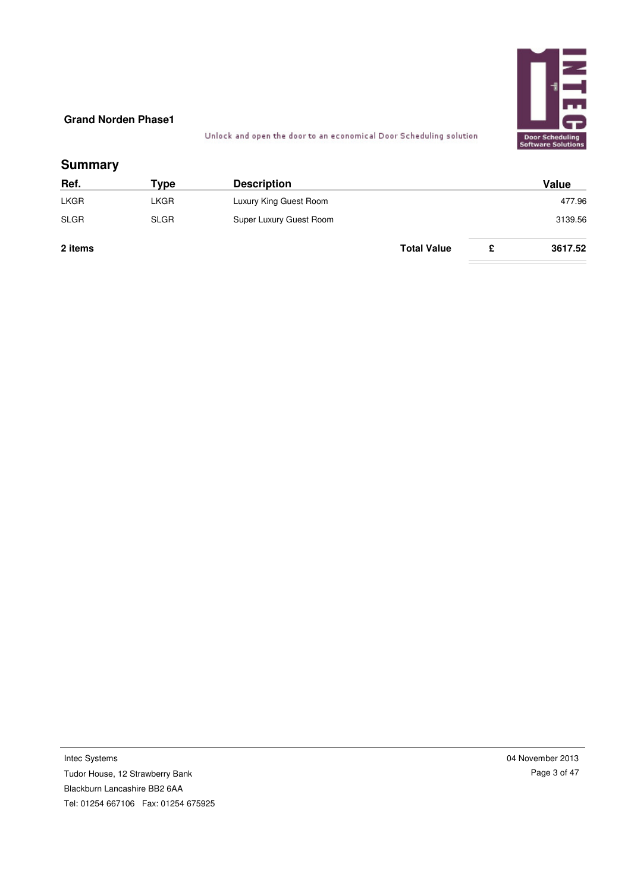

Unlock and open the door to an economical Door Scheduling solution

# **Summary**

| Ref.        | Tvpe        | <b>Description</b>      |                    | Value   |
|-------------|-------------|-------------------------|--------------------|---------|
| LKGR        | LKGR        | Luxury King Guest Room  |                    | 477.96  |
| <b>SLGR</b> | <b>SLGR</b> | Super Luxury Guest Room |                    | 3139.56 |
| 2 items     |             |                         | <b>Total Value</b> | 3617.52 |

Intec Systems Tudor House, 12 Strawberry Bank Blackburn Lancashire BB2 6AA Tel: 01254 667106 Fax: 01254 675925 04 November 2013 Page 3 of 47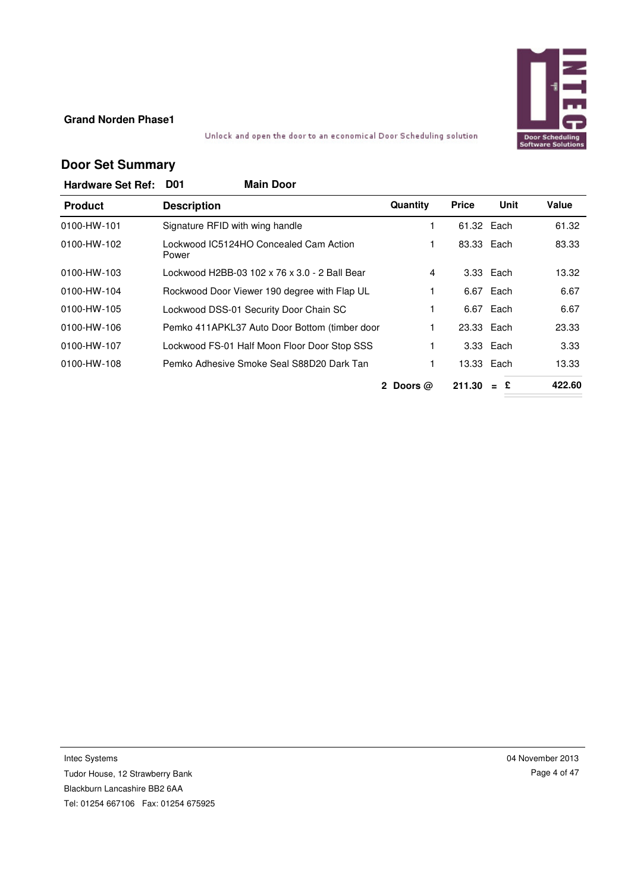

### Unlock and open the door to an economical Door Scheduling solution

# **Door Set Summary**

| <b>Hardware Set Ref:</b> | <b>Main Door</b><br><b>D01</b>                  |                                  |              |               |        |
|--------------------------|-------------------------------------------------|----------------------------------|--------------|---------------|--------|
| <b>Product</b>           | <b>Description</b>                              | Quantity                         | <b>Price</b> | Unit          | Value  |
| 0100-HW-101              | Signature RFID with wing handle                 | 1.                               | 61.32 Each   |               | 61.32  |
| 0100-HW-102              | Lockwood IC5124HO Concealed Cam Action<br>Power | 1                                | 83.33 Each   |               | 83.33  |
| 0100-HW-103              | Lockwood H2BB-03 102 x 76 x 3.0 - 2 Ball Bear   | 4                                |              | 3.33 Each     | 13.32  |
| 0100-HW-104              | Rockwood Door Viewer 190 degree with Flap UL    |                                  |              | 6.67 Each     | 6.67   |
| 0100-HW-105              | Lockwood DSS-01 Security Door Chain SC          |                                  |              | 6.67 Each     | 6.67   |
| 0100-HW-106              | Pemko 411APKL37 Auto Door Bottom (timber door   |                                  | 23.33 Each   |               | 23.33  |
| 0100-HW-107              | Lockwood FS-01 Half Moon Floor Door Stop SSS    |                                  |              | 3.33 Each     | 3.33   |
| 0100-HW-108              | Pemko Adhesive Smoke Seal S88D20 Dark Tan       | 1                                |              | 13.33 Each    | 13.33  |
|                          |                                                 | $\mathbf{2}^-$<br>Doors $\omega$ | 211.30       | £<br>$\equiv$ | 422.60 |

Intec Systems

Tudor House, 12 Strawberry Bank Blackburn Lancashire BB2 6AA Tel: 01254 667106 Fax: 01254 675925 04 November 2013 Page 4 of 47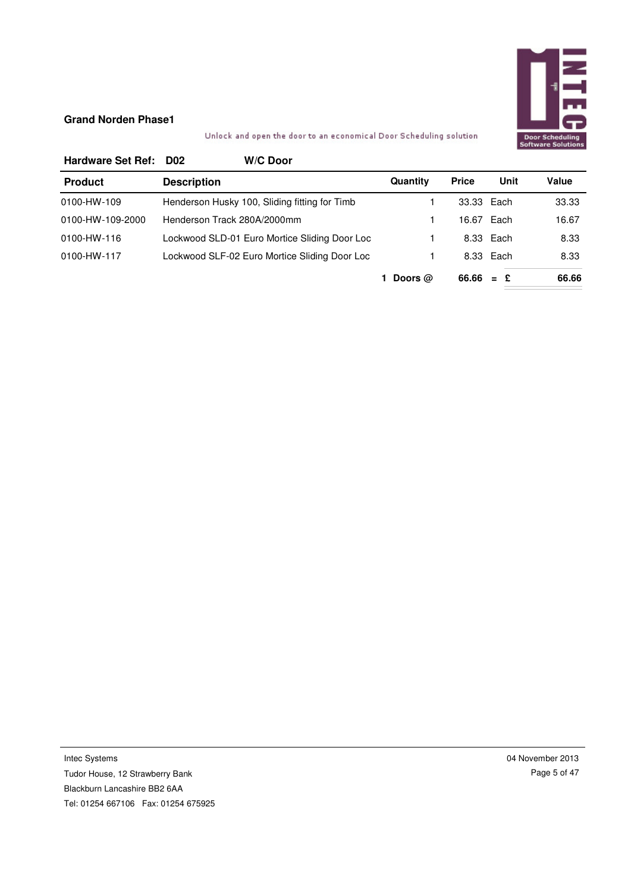

# Unlock and open the door to an economical Door Scheduling solution

| <b>Hardware Set Ref:</b> | D02                         | W/C Door                                      |           |              |            |       |
|--------------------------|-----------------------------|-----------------------------------------------|-----------|--------------|------------|-------|
| <b>Product</b>           | <b>Description</b>          |                                               | Quantity  | <b>Price</b> | Unit       | Value |
| 0100-HW-109              |                             | Henderson Husky 100, Sliding fitting for Timb |           | 33.33 Each   |            | 33.33 |
| 0100-HW-109-2000         | Henderson Track 280A/2000mm |                                               |           |              | 16.67 Each | 16.67 |
| 0100-HW-116              |                             | Lockwood SLD-01 Euro Mortice Sliding Door Loc |           |              | 8.33 Each  | 8.33  |
| 0100-HW-117              |                             | Lockwood SLF-02 Euro Mortice Sliding Door Loc |           |              | 8.33 Each  | 8.33  |
|                          |                             |                                               | Doors $@$ | $66.66 = £$  |            | 66.66 |

Intec Systems Tudor House, 12 Strawberry Bank Blackburn Lancashire BB2 6AA Tel: 01254 667106 Fax: 01254 675925 04 November 2013 Page 5 of 47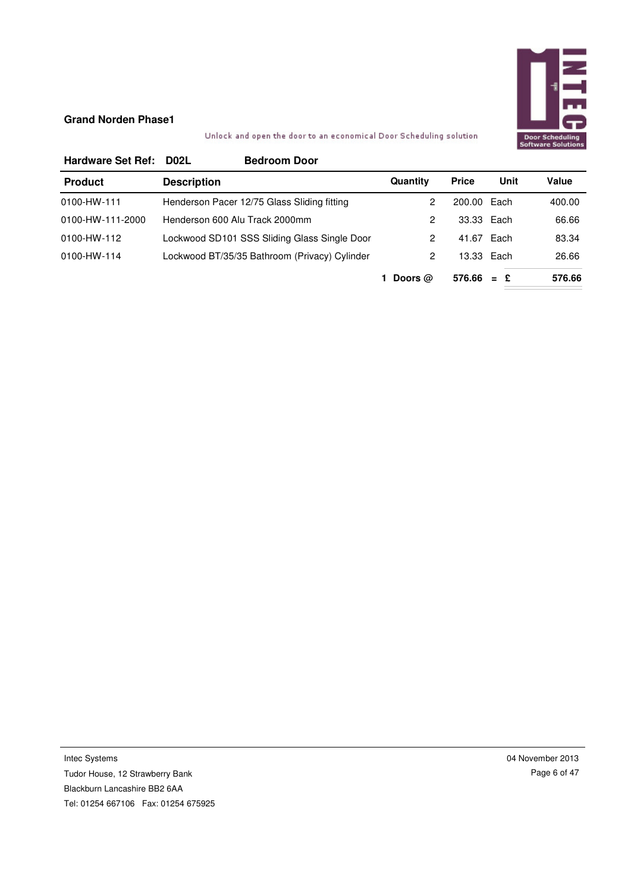

# Unlock and open the door to an economical Door Scheduling solution

| <b>Hardware Set Ref:</b> | <b>Bedroom Door</b><br><b>D02L</b>            |           |              |            |        |
|--------------------------|-----------------------------------------------|-----------|--------------|------------|--------|
| <b>Product</b>           | <b>Description</b>                            | Quantity  | <b>Price</b> | Unit       | Value  |
| 0100-HW-111              | Henderson Pacer 12/75 Glass Sliding fitting   | 2         | 200.00 Each  |            | 400.00 |
| 0100-HW-111-2000         | Henderson 600 Alu Track 2000mm                | 2         | 33.33 Each   |            | 66.66  |
| 0100-HW-112              | Lockwood SD101 SSS Sliding Glass Single Door  | 2         | 41.67 Each   |            | 83.34  |
| 0100-HW-114              | Lockwood BT/35/35 Bathroom (Privacy) Cylinder | 2         |              | 13.33 Each | 26.66  |
|                          |                                               | Doors $@$ | $576.66 = £$ |            | 576.66 |

Intec Systems Tudor House, 12 Strawberry Bank Blackburn Lancashire BB2 6AA Tel: 01254 667106 Fax: 01254 675925 04 November 2013 Page 6 of 47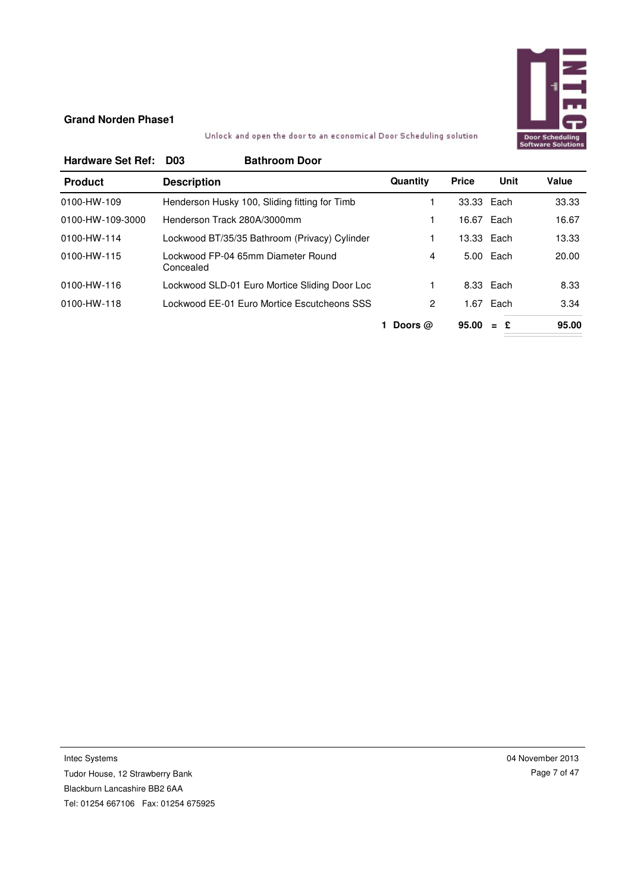

## Unlock and open the door to an economical Door Scheduling solution

| <b>Hardware Set Ref:</b> | <b>Bathroom Door</b><br>D <sub>03</sub>         |                |              |            |       |
|--------------------------|-------------------------------------------------|----------------|--------------|------------|-------|
| <b>Product</b>           | <b>Description</b>                              | Quantity       | <b>Price</b> | Unit       | Value |
| 0100-HW-109              | Henderson Husky 100, Sliding fitting for Timb   |                | 33.33 Each   |            | 33.33 |
| 0100-HW-109-3000         | Henderson Track 280A/3000mm                     |                |              | 16.67 Each | 16.67 |
| 0100-HW-114              | Lockwood BT/35/35 Bathroom (Privacy) Cylinder   |                |              | 13.33 Each | 13.33 |
| 0100-HW-115              | Lockwood FP-04 65mm Diameter Round<br>Concealed | 4              |              | 5.00 Each  | 20.00 |
| 0100-HW-116              | Lockwood SLD-01 Euro Mortice Sliding Door Loc   |                |              | 8.33 Each  | 8.33  |
| 0100-HW-118              | Lockwood EE-01 Euro Mortice Escutcheons SSS     | $\overline{2}$ | 1.67         | Each       | 3.34  |
|                          |                                                 | Doors $@$      | 95.00        | $=$ £      | 95.00 |

Intec Systems Tudor House, 12 Strawberry Bank Blackburn Lancashire BB2 6AA Tel: 01254 667106 Fax: 01254 675925 04 November 2013 Page 7 of 47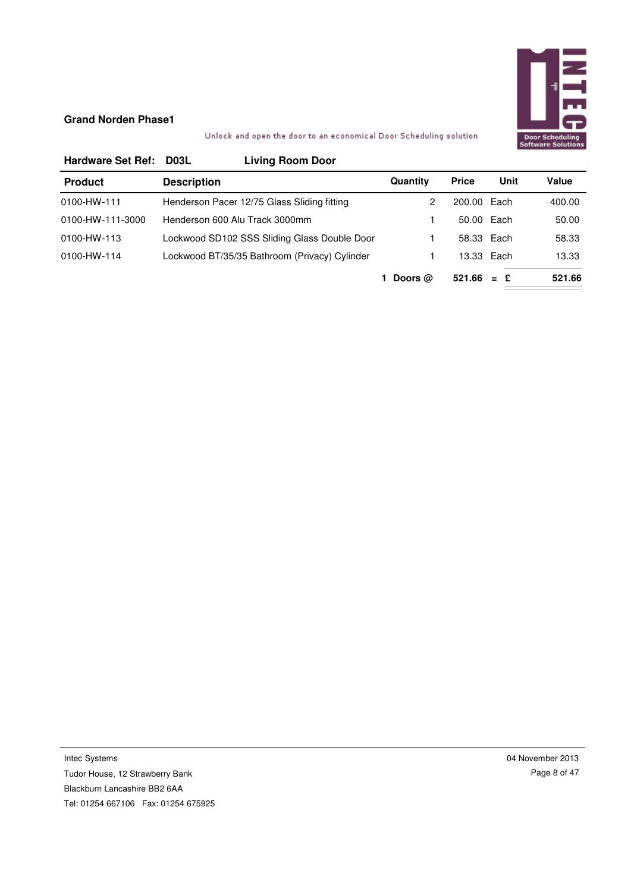

Unlock and open the door to an economical Door Scheduling solution

| <b>Hardware Set Ref:</b> | D03L               | <b>Living Room Door</b>                       |           |              |      |        |
|--------------------------|--------------------|-----------------------------------------------|-----------|--------------|------|--------|
| <b>Product</b>           | <b>Description</b> |                                               | Quantity  | <b>Price</b> | Unit | Value  |
| 0100-HW-111              |                    | Henderson Pacer 12/75 Glass Sliding fitting   |           | 200.00 Each  |      | 400.00 |
| 0100-HW-111-3000         |                    | Henderson 600 Alu Track 3000mm                |           | 50.00 Each   |      | 50.00  |
| 0100-HW-113              |                    | Lockwood SD102 SSS Sliding Glass Double Door  |           | 58.33 Each   |      | 58.33  |
| 0100-HW-114              |                    | Lockwood BT/35/35 Bathroom (Privacy) Cylinder |           | 13.33 Each   |      | 13.33  |
|                          |                    |                                               | Doors $@$ | $521.66 = £$ |      | 521.66 |

Intec Systems Tudor House, 12 Strawberry Bank Blackburn Lancashire BB2 6AA Tel: 01254 667106 Fax: 01254 675925 04 November 2013 Page 8 of 47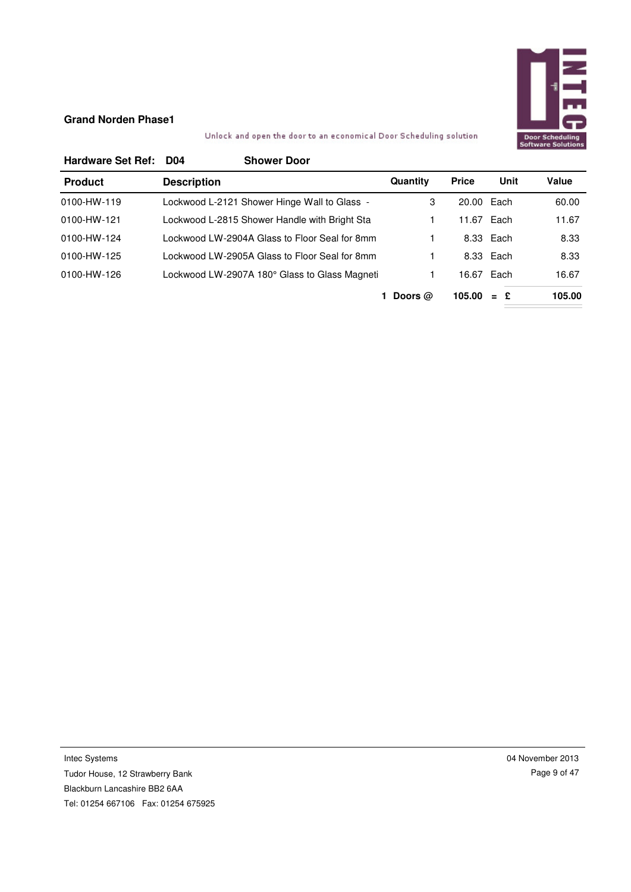

# Unlock and open the door to an economical Door Scheduling solution

| <b>Hardware Set Ref:</b> | D04                | <b>Shower Door</b>                            |           |              |            |        |
|--------------------------|--------------------|-----------------------------------------------|-----------|--------------|------------|--------|
| <b>Product</b>           | <b>Description</b> |                                               | Quantity  | <b>Price</b> | Unit       | Value  |
| 0100-HW-119              |                    | Lockwood L-2121 Shower Hinge Wall to Glass -  | 3         | 20.00 Each   |            | 60.00  |
| 0100-HW-121              |                    | Lockwood L-2815 Shower Handle with Bright Sta |           |              | 11.67 Each | 11.67  |
| 0100-HW-124              |                    | Lockwood LW-2904A Glass to Floor Seal for 8mm |           |              | 8.33 Each  | 8.33   |
| 0100-HW-125              |                    | Lockwood LW-2905A Glass to Floor Seal for 8mm |           |              | 8.33 Each  | 8.33   |
| 0100-HW-126              |                    | Lockwood LW-2907A 180° Glass to Glass Magneti |           | 16.67 Each   |            | 16.67  |
|                          |                    |                                               | Doors $@$ | 105.00       | $=$ £      | 105.00 |

Intec Systems Tudor House, 12 Strawberry Bank Blackburn Lancashire BB2 6AA Tel: 01254 667106 Fax: 01254 675925 04 November 2013 Page 9 of 47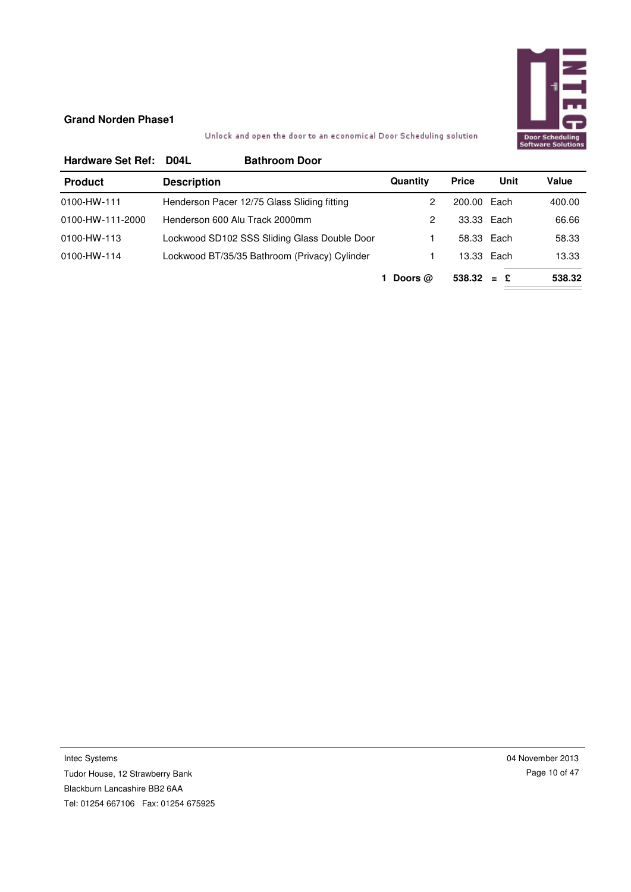

# Unlock and open the door to an economical Door Scheduling solution

| <b>Hardware Set Ref:</b> | D <sub>04</sub> L  | <b>Bathroom Door</b>                          |           |              |      |        |
|--------------------------|--------------------|-----------------------------------------------|-----------|--------------|------|--------|
| <b>Product</b>           | <b>Description</b> |                                               | Quantity  | <b>Price</b> | Unit | Value  |
| 0100-HW-111              |                    | Henderson Pacer 12/75 Glass Sliding fitting   | 2         | 200.00 Each  |      | 400.00 |
| 0100-HW-111-2000         |                    | Henderson 600 Alu Track 2000mm                | 2         | 33.33 Each   |      | 66.66  |
| 0100-HW-113              |                    | Lockwood SD102 SSS Sliding Glass Double Door  |           | 58.33 Each   |      | 58.33  |
| 0100-HW-114              |                    | Lockwood BT/35/35 Bathroom (Privacy) Cylinder |           | 13.33 Each   |      | 13.33  |
|                          |                    |                                               | Doors $@$ | $538.32 = £$ |      | 538.32 |

Intec Systems Tudor House, 12 Strawberry Bank Blackburn Lancashire BB2 6AA Tel: 01254 667106 Fax: 01254 675925 04 November 2013 Page 10 of 47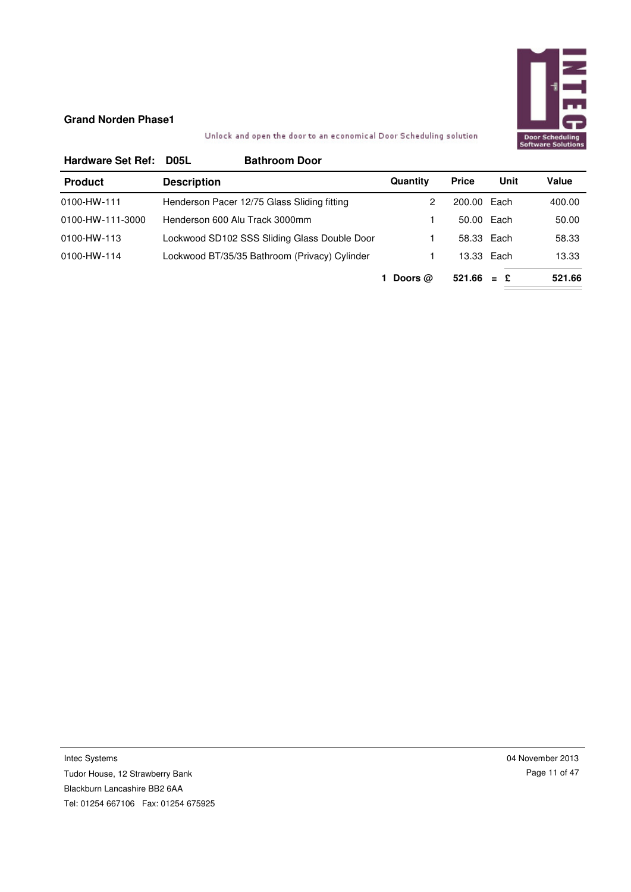

# Unlock and open the door to an economical Door Scheduling solution

| <b>Hardware Set Ref:</b> | <b>D05L</b>        | <b>Bathroom Door</b>                          |           |              |      |        |
|--------------------------|--------------------|-----------------------------------------------|-----------|--------------|------|--------|
| <b>Product</b>           | <b>Description</b> |                                               | Quantity  | <b>Price</b> | Unit | Value  |
| 0100-HW-111              |                    | Henderson Pacer 12/75 Glass Sliding fitting   | 2         | 200.00 Each  |      | 400.00 |
| 0100-HW-111-3000         |                    | Henderson 600 Alu Track 3000mm                |           | 50.00 Each   |      | 50.00  |
| 0100-HW-113              |                    | Lockwood SD102 SSS Sliding Glass Double Door  |           | 58.33 Each   |      | 58.33  |
| 0100-HW-114              |                    | Lockwood BT/35/35 Bathroom (Privacy) Cylinder |           | 13.33 Each   |      | 13.33  |
|                          |                    |                                               | Doors $@$ | $521.66 = E$ |      | 521.66 |

Intec Systems Tudor House, 12 Strawberry Bank Blackburn Lancashire BB2 6AA Tel: 01254 667106 Fax: 01254 675925 04 November 2013 Page 11 of 47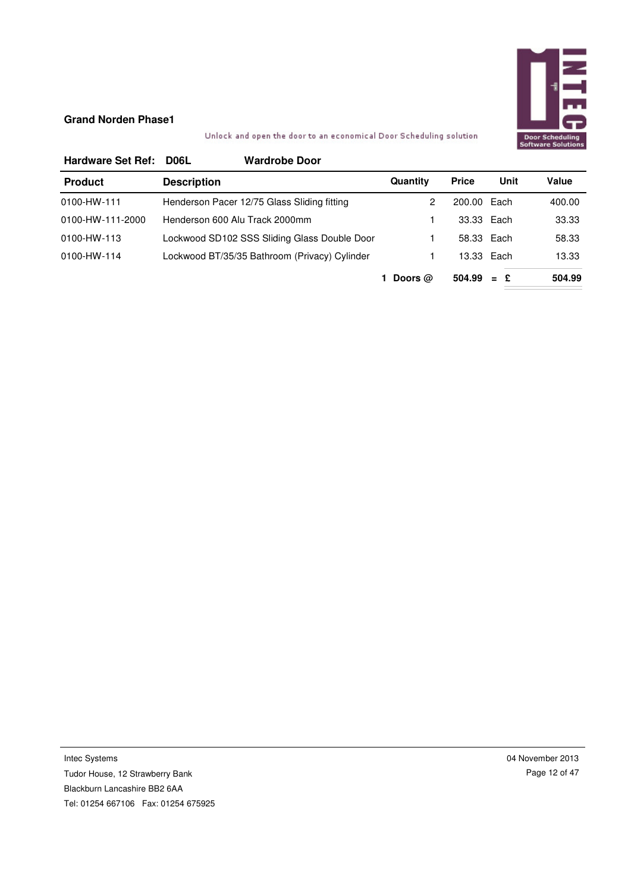

# Unlock and open the door to an economical Door Scheduling solution

| <b>Hardware Set Ref:</b> | D <sub>06</sub> L  | <b>Wardrobe Door</b>                          |           |              |      |        |
|--------------------------|--------------------|-----------------------------------------------|-----------|--------------|------|--------|
| <b>Product</b>           | <b>Description</b> |                                               | Quantity  | <b>Price</b> | Unit | Value  |
| 0100-HW-111              |                    | Henderson Pacer 12/75 Glass Sliding fitting   | 2         | 200.00 Each  |      | 400.00 |
| 0100-HW-111-2000         |                    | Henderson 600 Alu Track 2000mm                |           | 33.33 Each   |      | 33.33  |
| 0100-HW-113              |                    | Lockwood SD102 SSS Sliding Glass Double Door  |           | 58.33 Each   |      | 58.33  |
| 0100-HW-114              |                    | Lockwood BT/35/35 Bathroom (Privacy) Cylinder |           | 13.33 Each   |      | 13.33  |
|                          |                    |                                               | Doors $@$ | $504.99 = E$ |      | 504.99 |

Intec Systems Tudor House, 12 Strawberry Bank Blackburn Lancashire BB2 6AA Tel: 01254 667106 Fax: 01254 675925 04 November 2013 Page 12 of 47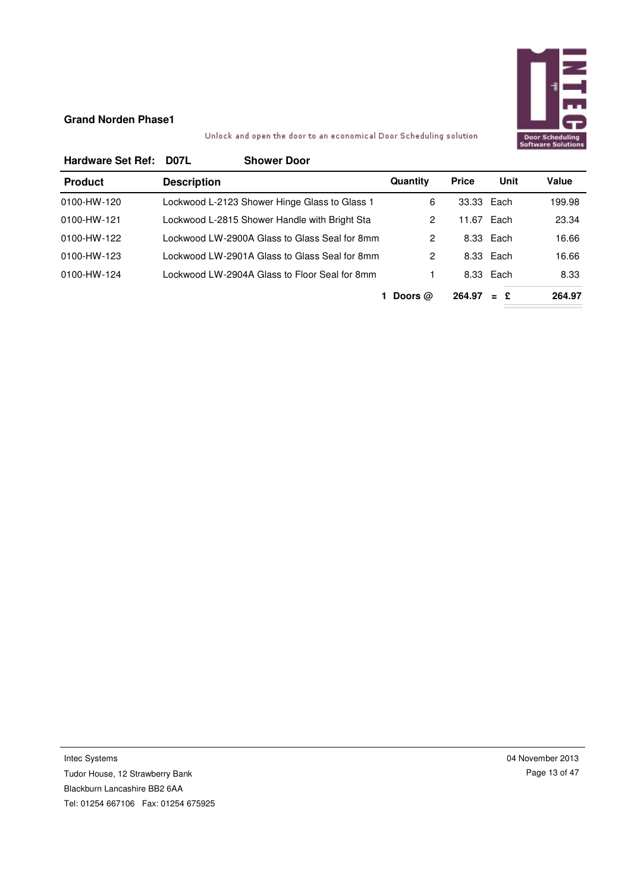

Unlock and open the door to an economical Door Scheduling solution

| <b>Hardware Set Ref:</b> | D07L<br><b>Shower Door</b>                    |                |              |           |        |
|--------------------------|-----------------------------------------------|----------------|--------------|-----------|--------|
| <b>Product</b>           | <b>Description</b>                            | Quantity       | <b>Price</b> | Unit      | Value  |
| 0100-HW-120              | Lockwood L-2123 Shower Hinge Glass to Glass 1 | 6              | 33.33 Each   |           | 199.98 |
| 0100-HW-121              | Lockwood L-2815 Shower Handle with Bright Sta | 2              | 11.67 Each   |           | 23.34  |
| 0100-HW-122              | Lockwood LW-2900A Glass to Glass Seal for 8mm | $\overline{2}$ |              | 8.33 Each | 16.66  |
| 0100-HW-123              | Lockwood LW-2901A Glass to Glass Seal for 8mm | 2              |              | 8.33 Each | 16.66  |
| 0100-HW-124              | Lockwood LW-2904A Glass to Floor Seal for 8mm |                |              | 8.33 Each | 8.33   |
|                          |                                               | Doors $@$      | 264.97       | $=$ £     | 264.97 |

Intec Systems Tudor House, 12 Strawberry Bank Blackburn Lancashire BB2 6AA Tel: 01254 667106 Fax: 01254 675925 04 November 2013 Page 13 of 47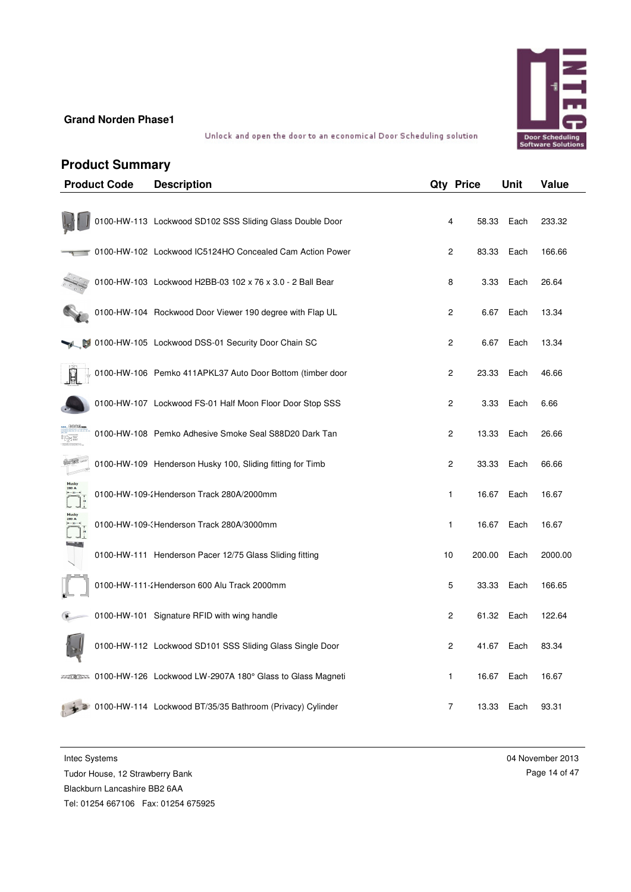

Unlock and open the door to an economical Door Scheduling solution

# **Product Summary**

| <b>Product Code</b> | <b>Description</b>                                                    |                | <b>Qty Price</b> | Unit | Value   |
|---------------------|-----------------------------------------------------------------------|----------------|------------------|------|---------|
|                     | 0100-HW-113 Lockwood SD102 SSS Sliding Glass Double Door              | 4              | 58.33            | Each | 233.32  |
|                     | 0100-HW-102 Lockwood IC5124HO Concealed Cam Action Power              | 2              | 83.33            | Each | 166.66  |
|                     | 0100-HW-103 Lockwood H2BB-03 102 x 76 x 3.0 - 2 Ball Bear             | 8              | 3.33             | Each | 26.64   |
|                     | 0100-HW-104 Rockwood Door Viewer 190 degree with Flap UL              | $\overline{c}$ | 6.67             | Each | 13.34   |
|                     | 10100-HW-105 Lockwood DSS-01 Security Door Chain SC                   | 2              | 6.67             | Each | 13.34   |
|                     | 0100-HW-106 Pemko 411APKL37 Auto Door Bottom (timber door             | 2              | 23.33            | Each | 46.66   |
|                     | 0100-HW-107 Lockwood FS-01 Half Moon Floor Door Stop SSS              | 2              | 3.33             | Each | 6.66    |
|                     | 0100-HW-108 Pemko Adhesive Smoke Seal S88D20 Dark Tan                 | 2              | 13.33            | Each | 26.66   |
|                     | 0100-HW-109 Henderson Husky 100, Sliding fitting for Timb             | 2              | 33.33            | Each | 66.66   |
|                     | 0100-HW-109-2Henderson Track 280A/2000mm                              | 1              | 16.67            | Each | 16.67   |
|                     | 0100-HW-109-(Henderson Track 280A/3000mm                              | 1              | 16.67            | Each | 16.67   |
|                     | 0100-HW-111 Henderson Pacer 12/75 Glass Sliding fitting               | 10             | 200.00           | Each | 2000.00 |
|                     | 0100-HW-111-2Henderson 600 Alu Track 2000mm                           | 5              | 33.33            | Each | 166.65  |
|                     | 0100-HW-101 Signature RFID with wing handle                           | 2              | 61.32            | Each | 122.64  |
|                     | 0100-HW-112 Lockwood SD101 SSS Sliding Glass Single Door              | 2              | 41.67            | Each | 83.34   |
|                     | ≠≠ৰাষ্ট্ৰম≊ 0100-HW-126 Lockwood LW-2907A 180° Glass to Glass Magneti | 1              | 16.67            | Each | 16.67   |
|                     | 2 0100-HW-114 Lockwood BT/35/35 Bathroom (Privacy) Cylinder           | 7              | 13.33            | Each | 93.31   |

Intec Systems

Tudor House, 12 Strawberry Bank

Blackburn Lancashire BB2 6AA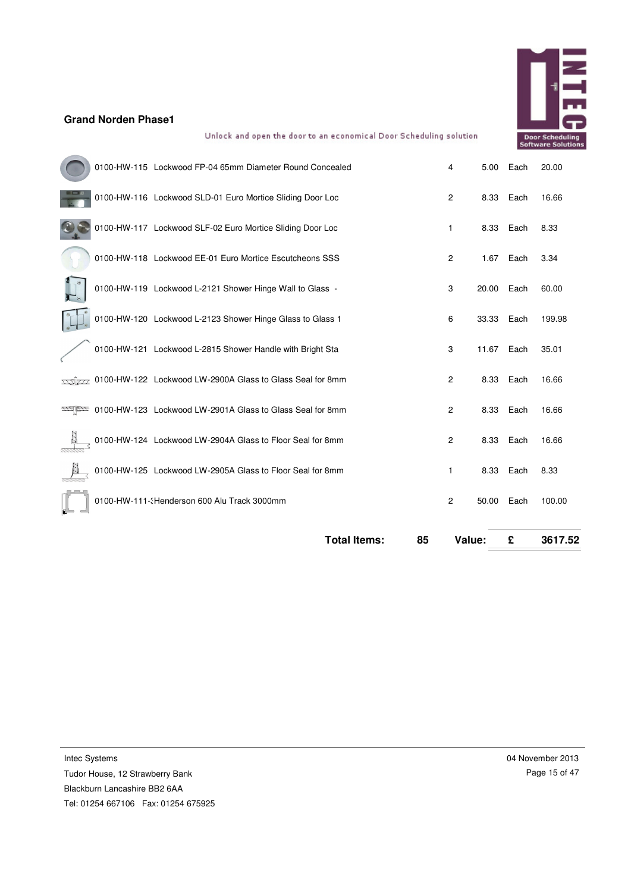

Unlock and open the door to an economical Door Scheduling solution

|  | <b>Total Items:</b>                                       | 85 | Value:         |       | £    | 3617.52 |
|--|-----------------------------------------------------------|----|----------------|-------|------|---------|
|  | 0100-HW-111-3Henderson 600 Alu Track 3000mm               |    | 2              | 50.00 | Each | 100.00  |
|  | 0100-HW-125 Lockwood LW-2905A Glass to Floor Seal for 8mm |    | 1              | 8.33  | Each | 8.33    |
|  | 0100-HW-124 Lockwood LW-2904A Glass to Floor Seal for 8mm |    | 2              | 8.33  | Each | 16.66   |
|  | 0100-HW-123 Lockwood LW-2901A Glass to Glass Seal for 8mm |    | $\overline{c}$ | 8.33  | Each | 16.66   |
|  | 55 External Cockwood LW-2900A Glass to Glass Seal for 8mm |    | $\overline{c}$ | 8.33  | Each | 16.66   |
|  | 0100-HW-121 Lockwood L-2815 Shower Handle with Bright Sta |    | 3              | 11.67 | Each | 35.01   |
|  | 0100-HW-120 Lockwood L-2123 Shower Hinge Glass to Glass 1 |    | 6              | 33.33 | Each | 199.98  |
|  | 0100-HW-119 Lockwood L-2121 Shower Hinge Wall to Glass -  |    | 3              | 20.00 | Each | 60.00   |
|  | 0100-HW-118 Lockwood EE-01 Euro Mortice Escutcheons SSS   |    | 2              | 1.67  | Each | 3.34    |
|  | 0100-HW-117 Lockwood SLF-02 Euro Mortice Sliding Door Loc |    | 1              | 8.33  | Each | 8.33    |
|  | 0100-HW-116 Lockwood SLD-01 Euro Mortice Sliding Door Loc |    | $\overline{c}$ | 8.33  | Each | 16.66   |
|  | 0100-HW-115 Lockwood FP-04 65mm Diameter Round Concealed  |    | 4              | 5.00  | Each | 20.00   |
|  |                                                           |    |                |       |      |         |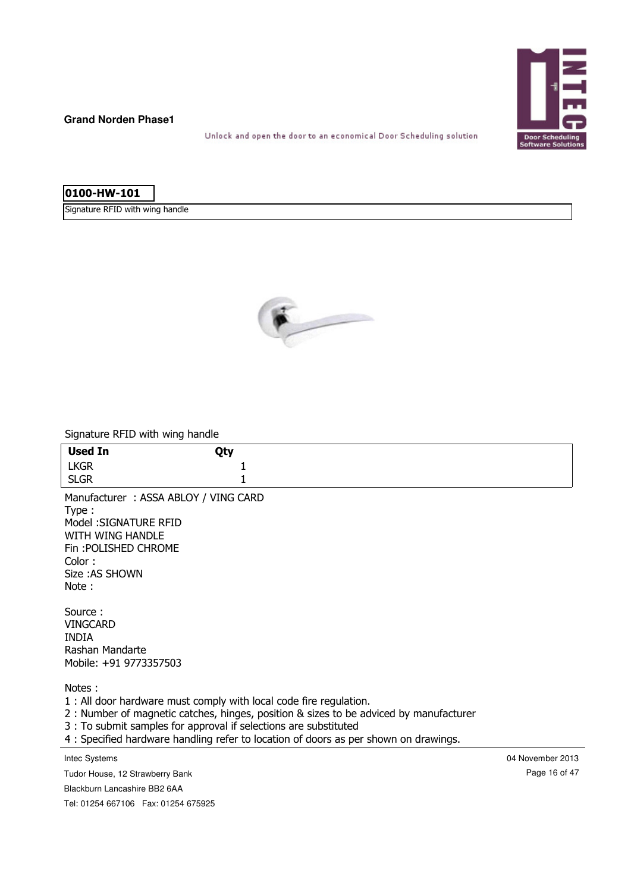

Unlock and open the door to an economical Door Scheduling solution

# **0100-HW-101**

Signature RFID with wing handle



Signature RFID with wing handle

| <b>Used In</b>                                                                                                                                          | Qty |                                                                                                                                                                                |                  |
|---------------------------------------------------------------------------------------------------------------------------------------------------------|-----|--------------------------------------------------------------------------------------------------------------------------------------------------------------------------------|------------------|
| <b>LKGR</b>                                                                                                                                             |     |                                                                                                                                                                                |                  |
| <b>SLGR</b>                                                                                                                                             |     |                                                                                                                                                                                |                  |
| Manufacturer: ASSA ABLOY / VING CARD<br>Type:<br>Model: SIGNATURE RFID<br>WITH WING HANDLE<br>Fin: POLISHED CHROME<br>Color:<br>Size: AS SHOWN<br>Note: |     |                                                                                                                                                                                |                  |
| Source:<br><b>VINGCARD</b><br><b>INDIA</b><br>Rashan Mandarte<br>Mobile: +91 9773357503                                                                 |     |                                                                                                                                                                                |                  |
| Notes:<br>1 : All door hardware must comply with local code fire regulation.<br>3 : To submit samples for approval if selections are substituted        |     | 2 : Number of magnetic catches, hinges, position & sizes to be adviced by manufacturer<br>4 : Specified hardware handling refer to location of doors as per shown on drawings. |                  |
| Intec Systems                                                                                                                                           |     |                                                                                                                                                                                | 04 November 2013 |
| Tudor House, 12 Strawberry Bank                                                                                                                         |     |                                                                                                                                                                                | Page 16 of 47    |
| Blackburn Lancashire BB2 6AA                                                                                                                            |     |                                                                                                                                                                                |                  |
| Tel: 01254 667106  Fax: 01254 675925                                                                                                                    |     |                                                                                                                                                                                |                  |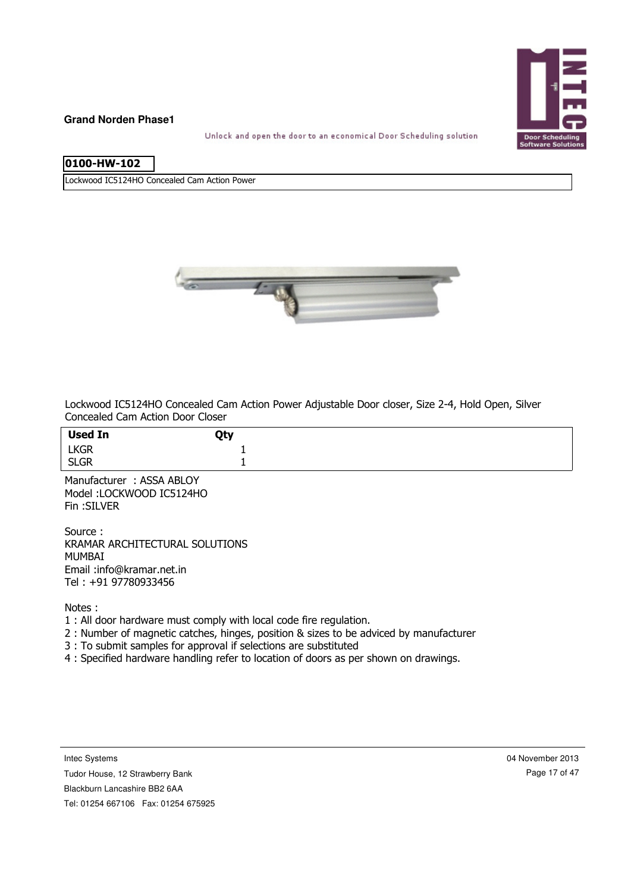

Unlock and open the door to an economical Door Scheduling solution

# **0100-HW-102**

Lockwood IC5124HO Concealed Cam Action Power



Lockwood IC5124HO Concealed Cam Action Power Adjustable Door closer, Size 2-4, Hold Open, Silver Concealed Cam Action Door Closer

| <b>Used In</b> | Qty |
|----------------|-----|
| LKGR<br>SLGR   |     |
|                |     |

Manufacturer : ASSA ABLOY Model :LOCKWOOD IC5124HO Fin :SILVER

Source : KRAMAR ARCHITECTURAL SOLUTIONS MUMBAI Email :info@kramar.net.in Tel : +91 97780933456

Notes :

- 1 : All door hardware must comply with local code fire regulation.
- 2 : Number of magnetic catches, hinges, position & sizes to be adviced by manufacturer
- 3 : To submit samples for approval if selections are substituted
- 4 : Specified hardware handling refer to location of doors as per shown on drawings.

Intec Systems

Tudor House, 12 Strawberry Bank

Blackburn Lancashire BB2 6AA

Tel: 01254 667106 Fax: 01254 675925

04 November 2013 Page 17 of 47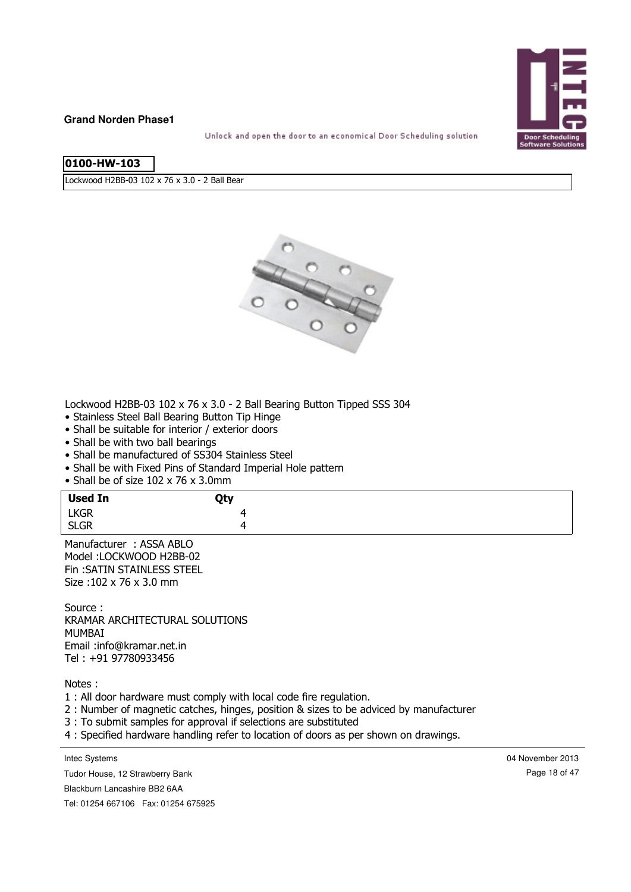

Unlock and open the door to an economical Door Scheduling solution

|--|

Lockwood H2BB-03 102 x 76 x 3.0 - 2 Ball Bear



Lockwood H2BB-03 102 x 76 x 3.0 - 2 Ball Bearing Button Tipped SSS 304

- Stainless Steel Ball Bearing Button Tip Hinge
- Shall be suitable for interior / exterior doors
- Shall be with two ball bearings
- Shall be manufactured of SS304 Stainless Steel
- Shall be with Fixed Pins of Standard Imperial Hole pattern
- Shall be of size 102 x 76 x 3.0mm

| <b>Used In</b> | Qty |
|----------------|-----|
| LKGR<br>SLGR   |     |
|                |     |

Manufacturer : ASSA ABLO Model :LOCKWOOD H2BB-02 Fin :SATIN STAINLESS STEEL Size :102 x 76 x 3.0 mm

Source : KRAMAR ARCHITECTURAL SOLUTIONS MUMBAI Email :info@kramar.net.in Tel : +91 97780933456

Notes :

1 : All door hardware must comply with local code fire regulation.

2 : Number of magnetic catches, hinges, position & sizes to be adviced by manufacturer

- 3 : To submit samples for approval if selections are substituted
- 4 : Specified hardware handling refer to location of doors as per shown on drawings.

Intec Systems

04 November 2013 Page 18 of 47

Blackburn Lancashire BB2 6AA

Tudor House, 12 Strawberry Bank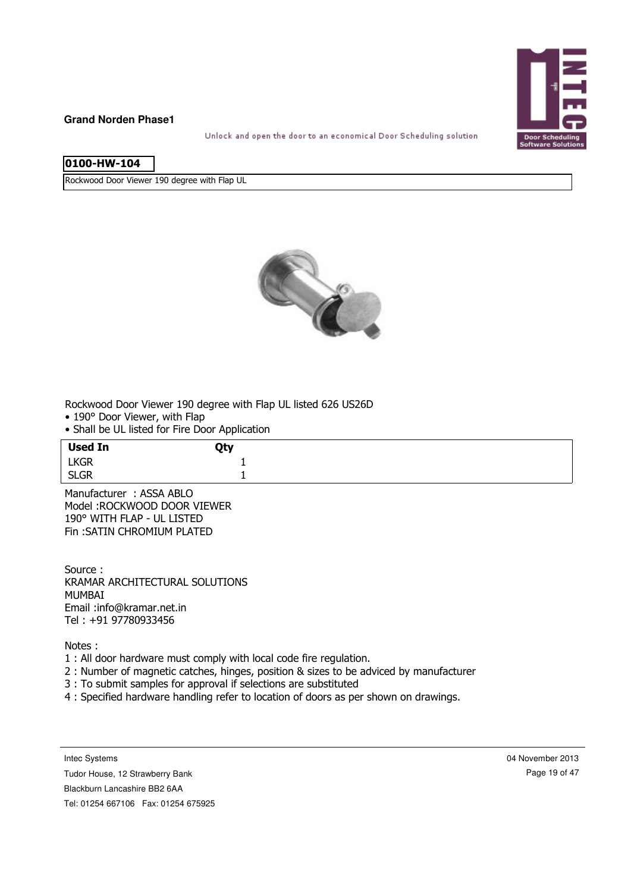

Unlock and open the door to an economical Door Scheduling solution

| 0100-HW-10 |
|------------|
|------------|

Rockwood Door Viewer 190 degree with Flap UL



Rockwood Door Viewer 190 degree with Flap UL listed 626 US26D

- 190° Door Viewer, with Flap
- Shall be UL listed for Fire Door Application

| <b>Used In</b> | Qty   |
|----------------|-------|
| <b>LKGR</b>    |       |
| <b>SLGR</b>    | <br>— |

Manufacturer : ASSA ABLO Model :ROCKWOOD DOOR VIEWER 190° WITH FLAP - UL LISTED Fin :SATIN CHROMIUM PLATED

Source : KRAMAR ARCHITECTURAL SOLUTIONS MUMBAI Email :info@kramar.net.in Tel : +91 97780933456

Notes :

- 1 : All door hardware must comply with local code fire regulation.
- 2 : Number of magnetic catches, hinges, position & sizes to be adviced by manufacturer
- 3 : To submit samples for approval if selections are substituted
- 4 : Specified hardware handling refer to location of doors as per shown on drawings.

Intec Systems

Tudor House, 12 Strawberry Bank

Blackburn Lancashire BB2 6AA

Tel: 01254 667106 Fax: 01254 675925

04 November 2013 Page 19 of 47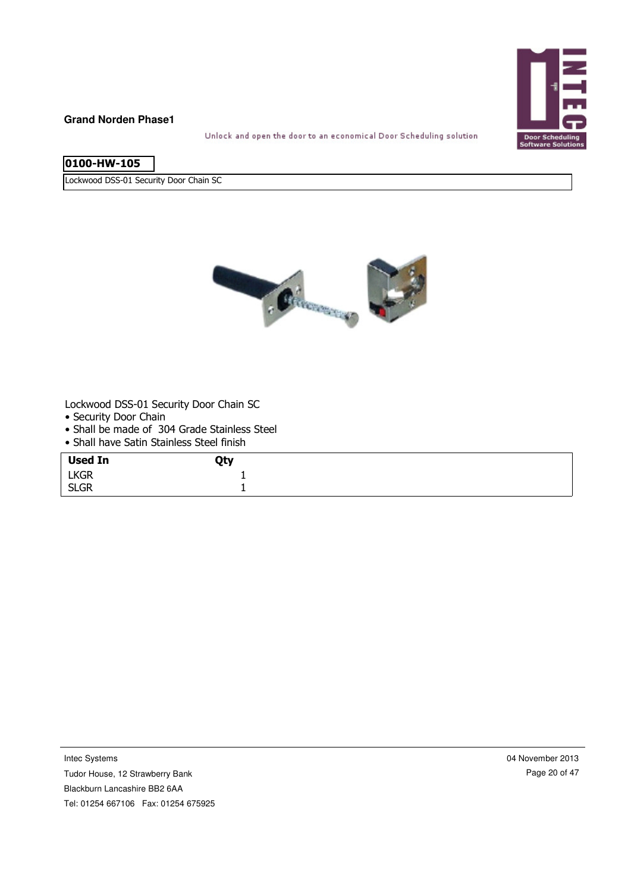

Unlock and open the door to an economical Door Scheduling solution

| 0100-HW-105 |  |
|-------------|--|
|             |  |

Lockwood DSS-01 Security Door Chain SC



Lockwood DSS-01 Security Door Chain SC

- Security Door Chain
- Shall be made of 304 Grade Stainless Steel
- Shall have Satin Stainless Steel finish

| <b>Used In</b> | Qty |
|----------------|-----|
| <b>LKGR</b>    |     |
| <b>SLGR</b>    | -   |

Intec Systems

Tudor House, 12 Strawberry Bank

Blackburn Lancashire BB2 6AA

Tel: 01254 667106 Fax: 01254 675925

04 November 2013 Page 20 of 47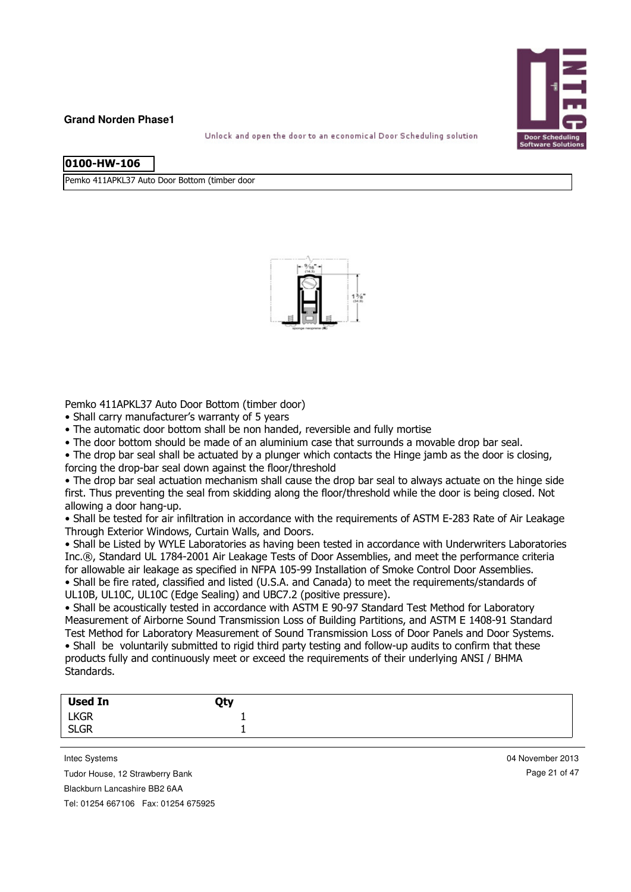

Unlock and open the door to an economical Door Scheduling solution

|  | l0100-HW-106 |  |
|--|--------------|--|
|  |              |  |

Pemko 411APKL37 Auto Door Bottom (timber door



Pemko 411APKL37 Auto Door Bottom (timber door)

• Shall carry manufacturer's warranty of 5 years

• The automatic door bottom shall be non handed, reversible and fully mortise

• The door bottom should be made of an aluminium case that surrounds a movable drop bar seal.

• The drop bar seal shall be actuated by a plunger which contacts the Hinge jamb as the door is closing,

forcing the drop-bar seal down against the floor/threshold

• The drop bar seal actuation mechanism shall cause the drop bar seal to always actuate on the hinge side first. Thus preventing the seal from skidding along the floor/threshold while the door is being closed. Not allowing a door hang-up.

• Shall be tested for air infiltration in accordance with the requirements of ASTM E-283 Rate of Air Leakage Through Exterior Windows, Curtain Walls, and Doors.

• Shall be Listed by WYLE Laboratories as having been tested in accordance with Underwriters Laboratories Inc.®, Standard UL 1784-2001 Air Leakage Tests of Door Assemblies, and meet the performance criteria for allowable air leakage as specified in NFPA 105-99 Installation of Smoke Control Door Assemblies.

• Shall be fire rated, classified and listed (U.S.A. and Canada) to meet the requirements/standards of UL10B, UL10C, UL10C (Edge Sealing) and UBC7.2 (positive pressure).

• Shall be acoustically tested in accordance with ASTM E 90-97 Standard Test Method for Laboratory Measurement of Airborne Sound Transmission Loss of Building Partitions, and ASTM E 1408-91 Standard Test Method for Laboratory Measurement of Sound Transmission Loss of Door Panels and Door Systems.

• Shall be voluntarily submitted to rigid third party testing and follow-up audits to confirm that these products fully and continuously meet or exceed the requirements of their underlying ANSI / BHMA Standards.

| Used In     | Qty |  |
|-------------|-----|--|
| <b>LKGR</b> |     |  |
| <b>SLGR</b> |     |  |
|             |     |  |

Intec Systems

Tudor House, 12 Strawberry Bank

Blackburn Lancashire BB2 6AA

Tel: 01254 667106 Fax: 01254 675925

04 November 2013 Page 21 of 47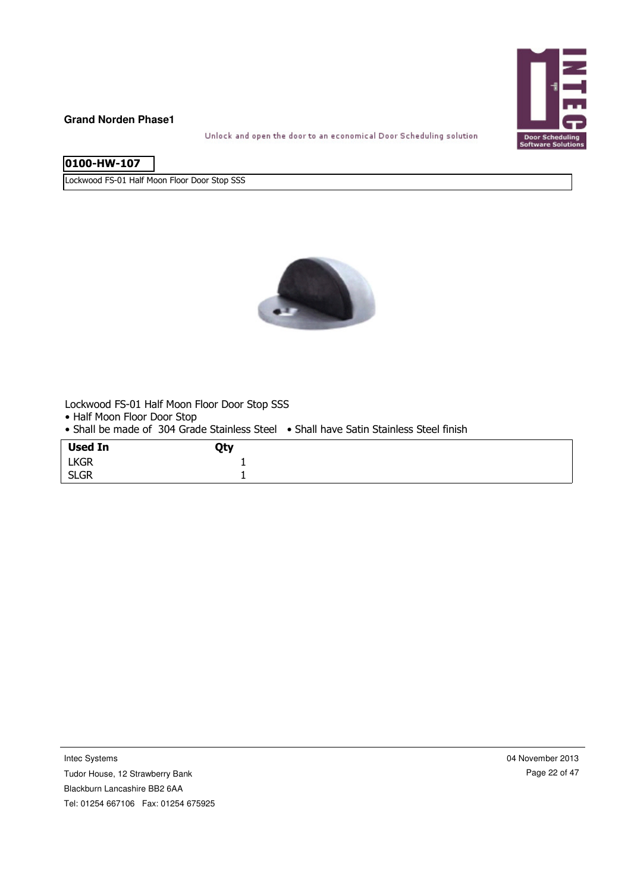

Unlock and open the door to an economical Door Scheduling solution

| 0100-HW-107 |  |
|-------------|--|

Lockwood FS-01 Half Moon Floor Door Stop SSS



Lockwood FS-01 Half Moon Floor Door Stop SSS

• Half Moon Floor Door Stop

• Shall be made of 304 Grade Stainless Steel • Shall have Satin Stainless Steel finish

| <b>Used In</b> | Qty |
|----------------|-----|
| <b>LKGR</b>    |     |
| <b>SLGR</b>    |     |

Tudor House, 12 Strawberry Bank Blackburn Lancashire BB2 6AA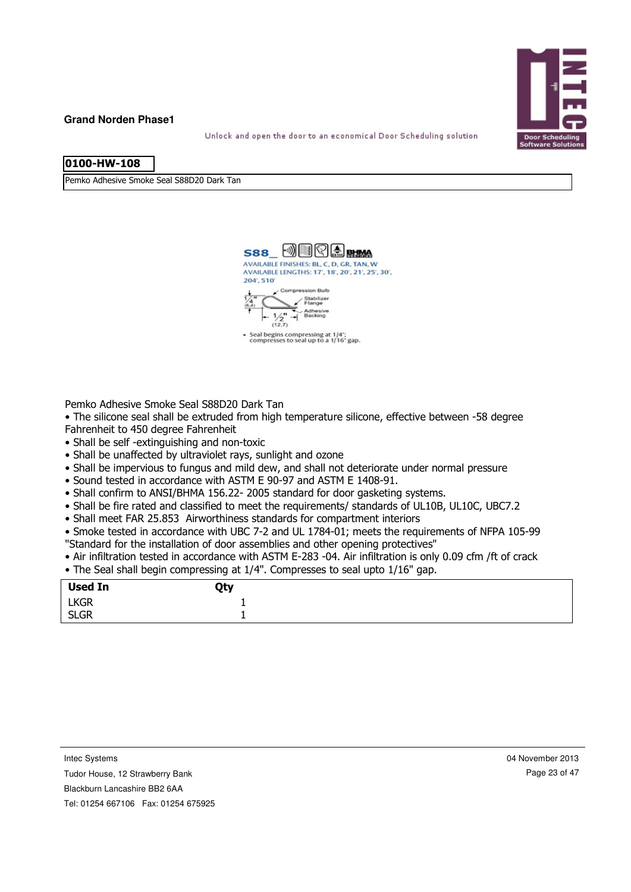

Unlock and open the door to an economical Door Scheduling solution

| 0100-HW-108 |  |
|-------------|--|
|             |  |
|             |  |
|             |  |

Pemko Adhesive Smoke Seal S88D20 Dark Tan



Pemko Adhesive Smoke Seal S88D20 Dark Tan

• The silicone seal shall be extruded from high temperature silicone, effective between -58 degree Fahrenheit to 450 degree Fahrenheit

- Shall be self -extinguishing and non-toxic
- Shall be unaffected by ultraviolet rays, sunlight and ozone
- Shall be impervious to fungus and mild dew, and shall not deteriorate under normal pressure
- Sound tested in accordance with ASTM E 90-97 and ASTM E 1408-91.
- Shall confirm to ANSI/BHMA 156.22- 2005 standard for door gasketing systems.
- Shall be fire rated and classified to meet the requirements/ standards of UL10B, UL10C, UBC7.2
- Shall meet FAR 25.853 Airworthiness standards for compartment interiors

• Smoke tested in accordance with UBC 7-2 and UL 1784-01; meets the requirements of NFPA 105-99 "Standard for the installation of door assemblies and other opening protectives"

- Air infiltration tested in accordance with ASTM E-283 -04. Air infiltration is only 0.09 cfm /ft of crack
- The Seal shall begin compressing at 1/4". Compresses to seal upto 1/16" gap.

| <b>Used In</b> | Qty |  |
|----------------|-----|--|
| <b>LKGR</b>    | -   |  |
| <b>SLGR</b>    |     |  |

Intec Systems

Tudor House, 12 Strawberry Bank

Blackburn Lancashire BB2 6AA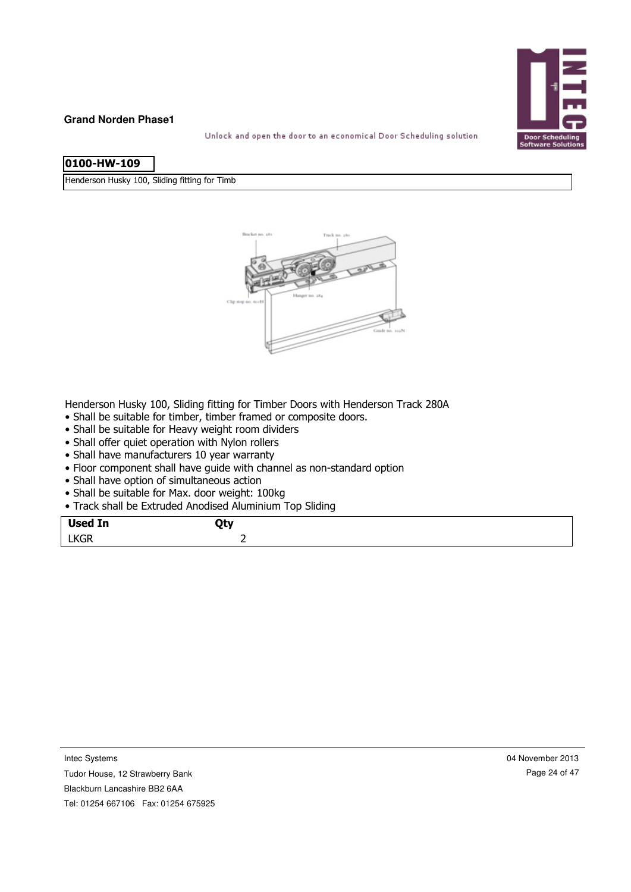

Unlock and open the door to an economical Door Scheduling solution

| 0100-HW-109 |  |
|-------------|--|

Henderson Husky 100, Sliding fitting for Timb



Henderson Husky 100, Sliding fitting for Timber Doors with Henderson Track 280A

- Shall be suitable for timber, timber framed or composite doors.
- Shall be suitable for Heavy weight room dividers
- Shall offer quiet operation with Nylon rollers
- Shall have manufacturers 10 year warranty
- Floor component shall have guide with channel as non-standard option
- Shall have option of simultaneous action
- Shall be suitable for Max. door weight: 100kg
- Track shall be Extruded Anodised Aluminium Top Sliding

| <b>Used In</b> | <b>Otv</b> |
|----------------|------------|
| <b>LKGR</b>    | -          |
|                |            |

Tudor House, 12 Strawberry Bank

Blackburn Lancashire BB2 6AA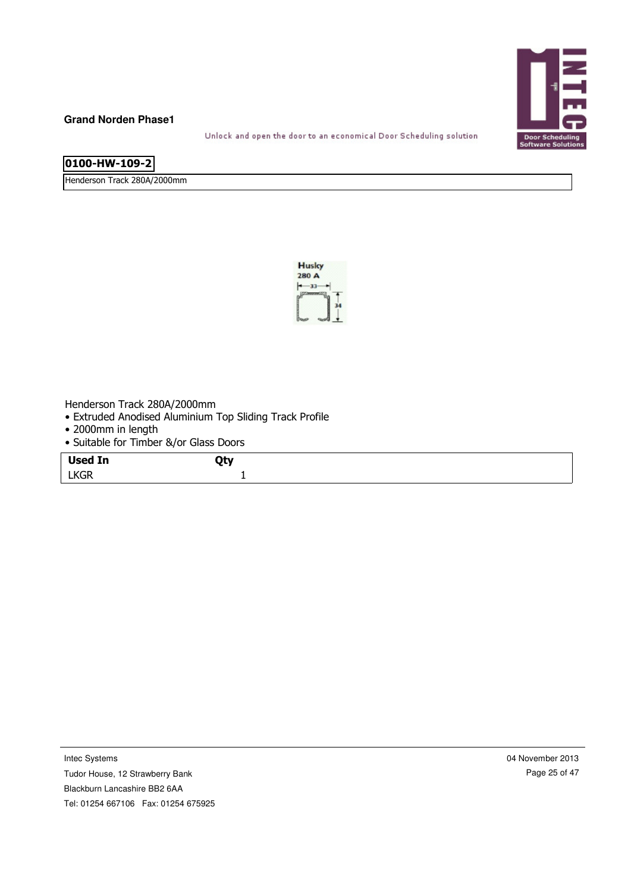

Unlock and open the door to an economical Door Scheduling solution

# **0100-HW-109-2**

Henderson Track 280A/2000mm



Henderson Track 280A/2000mm

- Extruded Anodised Aluminium Top Sliding Track Profile
- 2000mm in length
- Suitable for Timber &/or Glass Doors

|                | --         |
|----------------|------------|
| <b>Used In</b> | <b>Qty</b> |
| <b>LKGR</b>    |            |

Tudor House, 12 Strawberry Bank Blackburn Lancashire BB2 6AA

04 November 2013 Page 25 of 47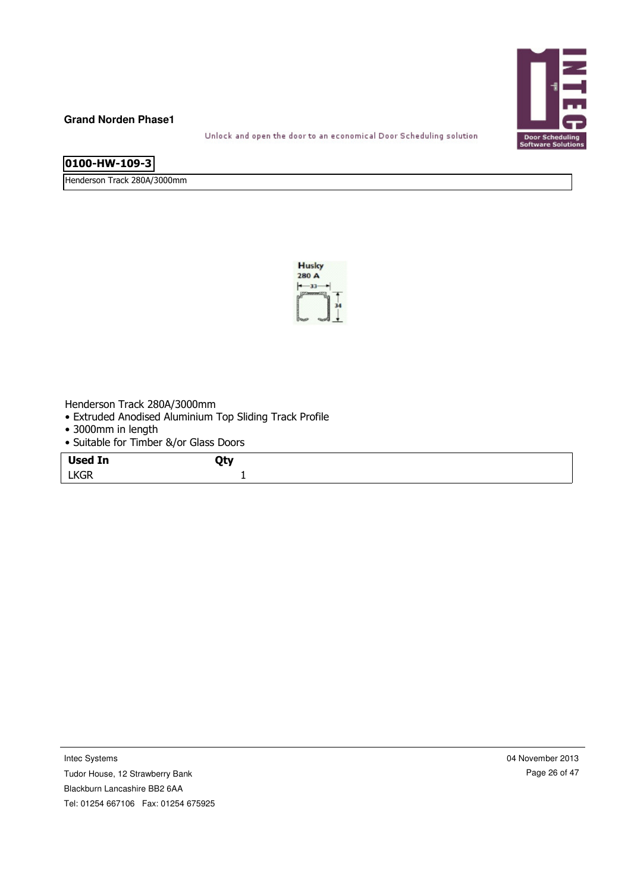

Unlock and open the door to an economical Door Scheduling solution

# **0100-HW-109-3**

Henderson Track 280A/3000mm



Henderson Track 280A/3000mm

- Extruded Anodised Aluminium Top Sliding Track Profile
- 3000mm in length
- Suitable for Timber &/or Glass Doors

Tudor House, 12 Strawberry Bank Blackburn Lancashire BB2 6AA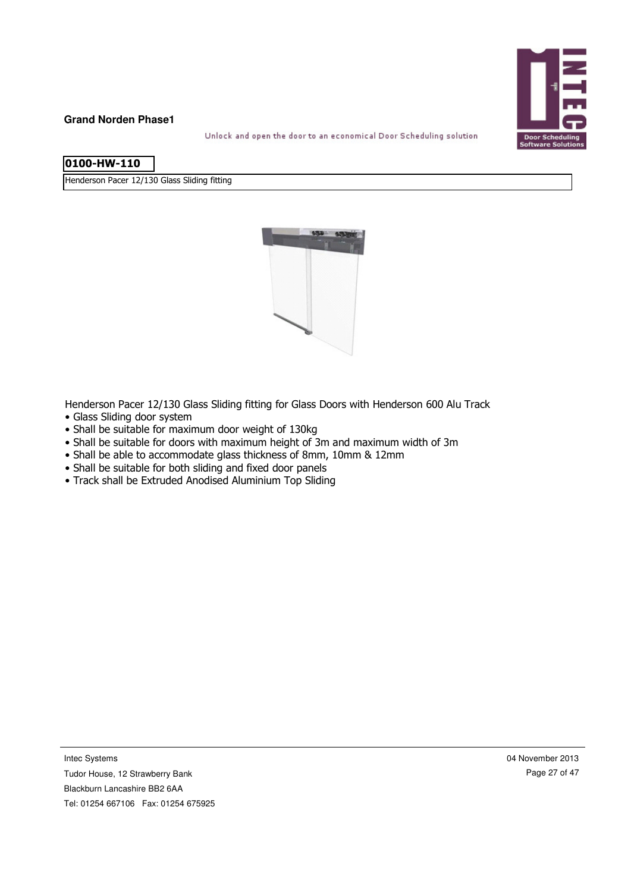

Unlock and open the door to an economical Door Scheduling solution

| l0100-HW-110 |  |
|--------------|--|
|              |  |

Henderson Pacer 12/130 Glass Sliding fitting



Henderson Pacer 12/130 Glass Sliding fitting for Glass Doors with Henderson 600 Alu Track

- Glass Sliding door system
- Shall be suitable for maximum door weight of 130kg
- Shall be suitable for doors with maximum height of 3m and maximum width of 3m
- Shall be able to accommodate glass thickness of 8mm, 10mm & 12mm
- Shall be suitable for both sliding and fixed door panels
- Track shall be Extruded Anodised Aluminium Top Sliding

Intec Systems

Tudor House, 12 Strawberry Bank Blackburn Lancashire BB2 6AA Tel: 01254 667106 Fax: 01254 675925 04 November 2013 Page 27 of 47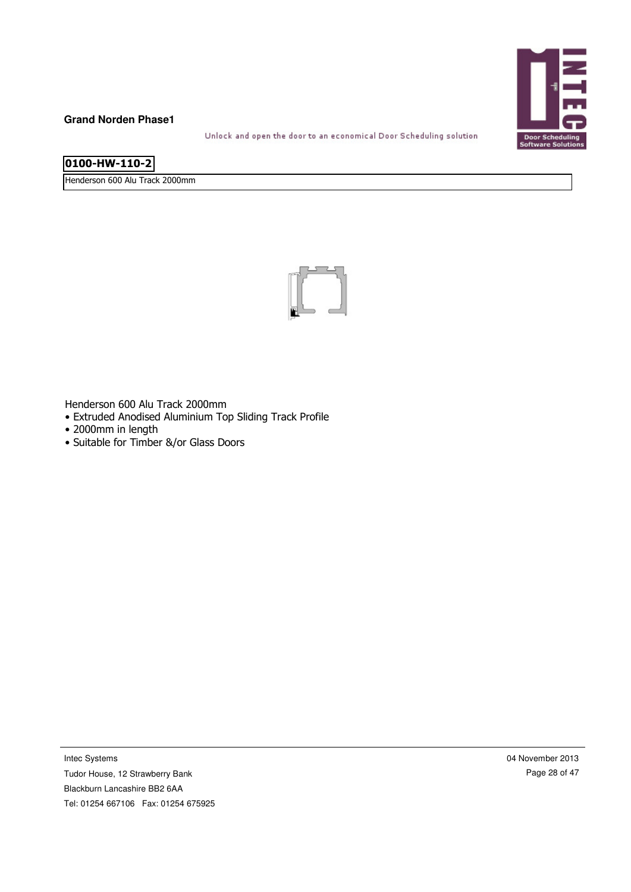

Unlock and open the door to an economical Door Scheduling solution

# **0100-HW-110-2**

Henderson 600 Alu Track 2000mm



Henderson 600 Alu Track 2000mm

- Extruded Anodised Aluminium Top Sliding Track Profile
- 2000mm in length
- Suitable for Timber &/or Glass Doors

Intec Systems

Tudor House, 12 Strawberry Bank Blackburn Lancashire BB2 6AA Tel: 01254 667106 Fax: 01254 675925 04 November 2013 Page 28 of 47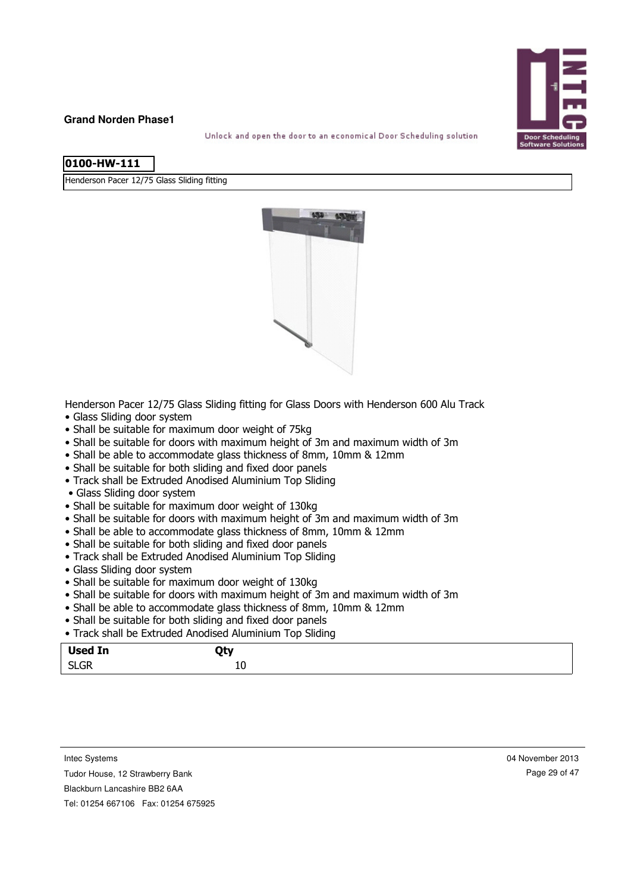

Unlock and open the door to an economical Door Scheduling solution

|  | l0100-HW-111 |  |
|--|--------------|--|
|--|--------------|--|

Henderson Pacer 12/75 Glass Sliding fitting



Henderson Pacer 12/75 Glass Sliding fitting for Glass Doors with Henderson 600 Alu Track

- Glass Sliding door system
- Shall be suitable for maximum door weight of 75kg
- Shall be suitable for doors with maximum height of 3m and maximum width of 3m
- Shall be able to accommodate glass thickness of 8mm, 10mm & 12mm
- Shall be suitable for both sliding and fixed door panels
- Track shall be Extruded Anodised Aluminium Top Sliding
- Glass Sliding door system
- Shall be suitable for maximum door weight of 130kg
- Shall be suitable for doors with maximum height of 3m and maximum width of 3m
- Shall be able to accommodate glass thickness of 8mm, 10mm & 12mm
- Shall be suitable for both sliding and fixed door panels
- Track shall be Extruded Anodised Aluminium Top Sliding
- Glass Sliding door system
- Shall be suitable for maximum door weight of 130kg
- Shall be suitable for doors with maximum height of 3m and maximum width of 3m
- Shall be able to accommodate glass thickness of 8mm, 10mm & 12mm
- Shall be suitable for both sliding and fixed door panels
- Track shall be Extruded Anodised Aluminium Top Sliding

| <b>Used In</b>         | ᇺ.<br>. – , |
|------------------------|-------------|
| C <sub>1</sub><br>SLUM | ᆚ           |
|                        |             |

Intec Systems

Tudor House, 12 Strawberry Bank

Blackburn Lancashire BB2 6AA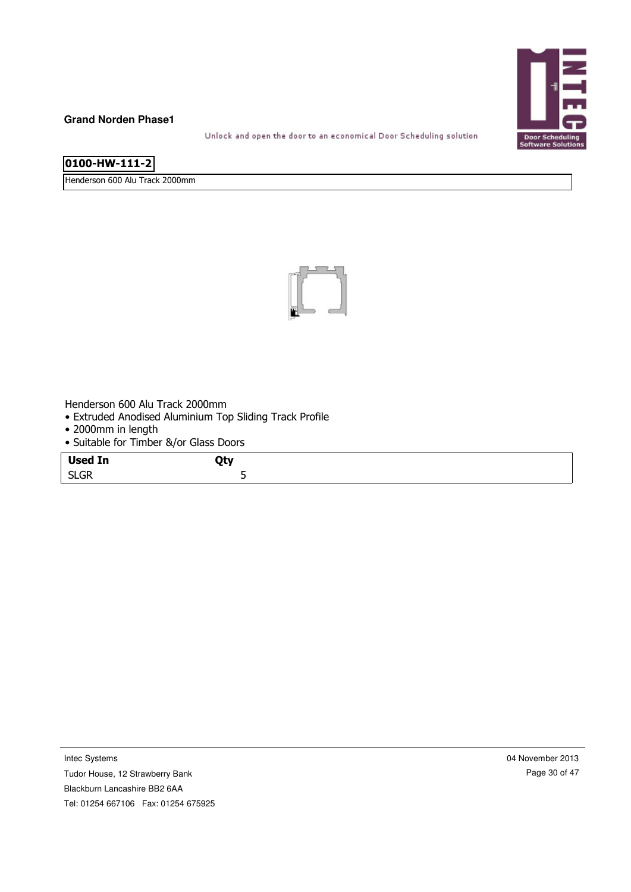

Unlock and open the door to an economical Door Scheduling solution

Henderson 600 Alu Track 2000mm



Henderson 600 Alu Track 2000mm

- Extruded Anodised Aluminium Top Sliding Track Profile
- 2000mm in length
- Suitable for Timber &/or Glass Doors

|                | --               |
|----------------|------------------|
| <b>Used In</b> | <b>Otv</b><br>ъ. |
| <b>SLGR</b>    | -                |

Tudor House, 12 Strawberry Bank Blackburn Lancashire BB2 6AA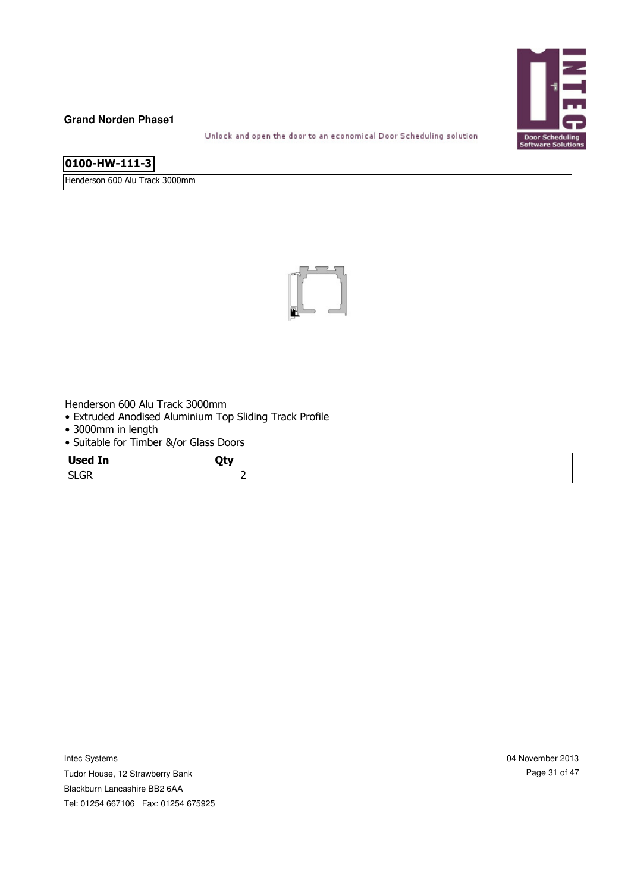

Unlock and open the door to an economical Door Scheduling solution

Henderson 600 Alu Track 3000mm



Henderson 600 Alu Track 3000mm

- Extruded Anodised Aluminium Top Sliding Track Profile
- 3000mm in length
- Suitable for Timber &/or Glass Doors

| <b>Used In</b> | Qty |
|----------------|-----|
| <b>SLGR</b>    | -   |

Intec Systems

Tudor House, 12 Strawberry Bank Blackburn Lancashire BB2 6AA

Tel: 01254 667106 Fax: 01254 675925

04 November 2013 Page 31 of 47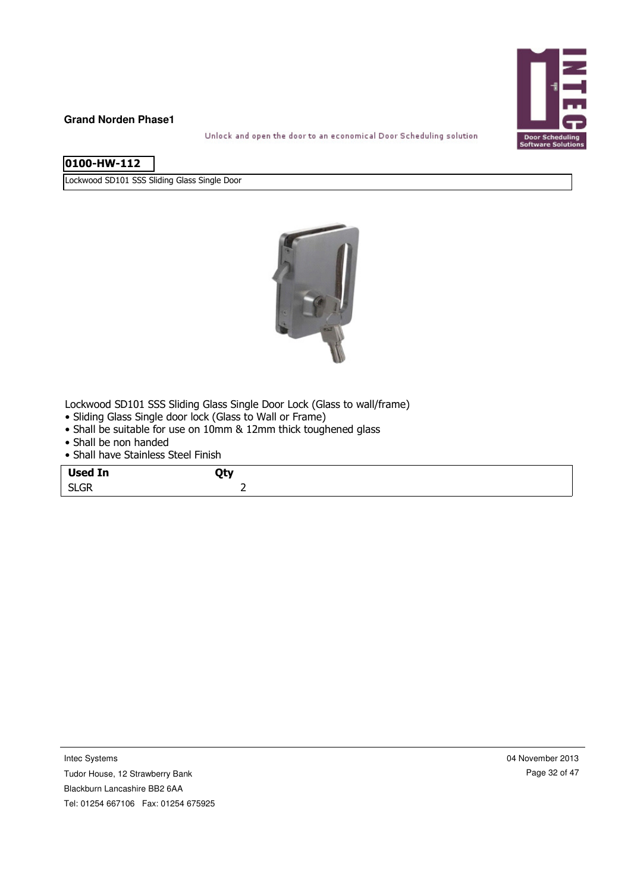

Unlock and open the door to an economical Door Scheduling solution

| 0100-HW-112 |  |
|-------------|--|
|             |  |
|             |  |

Lockwood SD101 SSS Sliding Glass Single Door



Lockwood SD101 SSS Sliding Glass Single Door Lock (Glass to wall/frame)

- Sliding Glass Single door lock (Glass to Wall or Frame)
- Shall be suitable for use on 10mm & 12mm thick toughened glass
- Shall be non handed
- Shall have Stainless Steel Finish

| <b>Used In</b>      | ᅐᅩ                       |
|---------------------|--------------------------|
| <b>SLGR</b><br>---- | $\overline{\phantom{0}}$ |

Intec Systems

Tudor House, 12 Strawberry Bank Blackburn Lancashire BB2 6AA Tel: 01254 667106 Fax: 01254 675925 04 November 2013 Page 32 of 47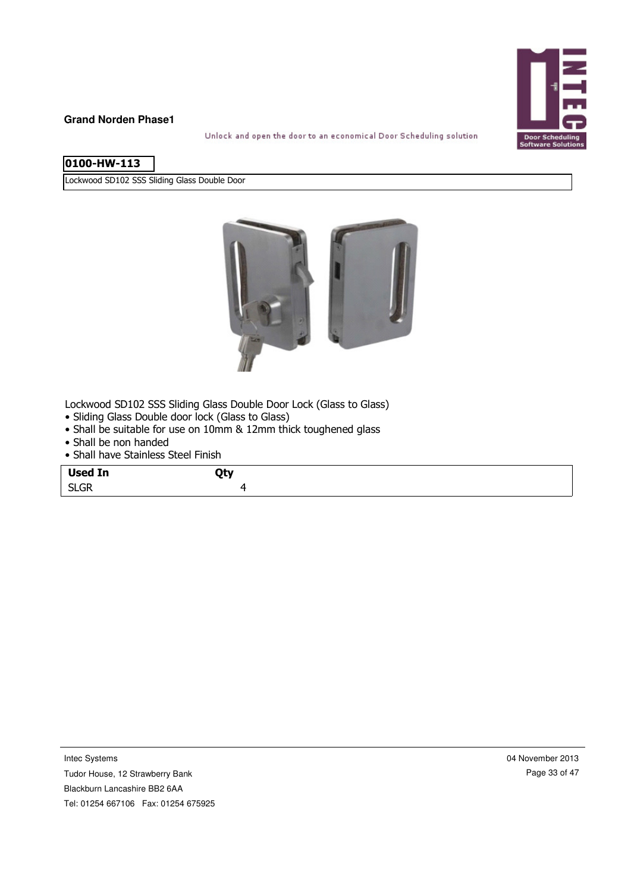

Unlock and open the door to an economical Door Scheduling solution

Lockwood SD102 SSS Sliding Glass Double Door



Lockwood SD102 SSS Sliding Glass Double Door Lock (Glass to Glass)

- Sliding Glass Double door lock (Glass to Glass)
- Shall be suitable for use on 10mm & 12mm thick toughened glass
- Shall be non handed
- Shall have Stainless Steel Finish

| <b>Used In</b> | ^⊾.<br>ю. |
|----------------|-----------|
| <b>SLGR</b>    |           |

Intec Systems

Tudor House, 12 Strawberry Bank Blackburn Lancashire BB2 6AA Tel: 01254 667106 Fax: 01254 675925 04 November 2013 Page 33 of 47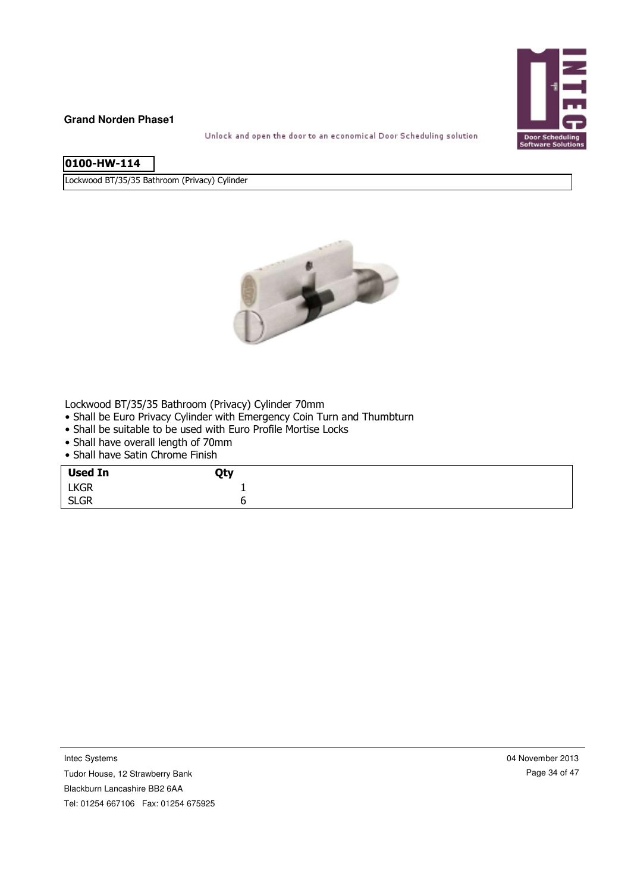

Unlock and open the door to an economical Door Scheduling solution

| l0100-HW-114 |
|--------------|
|              |
|              |

Lockwood BT/35/35 Bathroom (Privacy) Cylinder



Lockwood BT/35/35 Bathroom (Privacy) Cylinder 70mm

- Shall be Euro Privacy Cylinder with Emergency Coin Turn and Thumbturn
- Shall be suitable to be used with Euro Profile Mortise Locks
- Shall have overall length of 70mm
- Shall have Satin Chrome Finish

| <b>Used In</b> | Qty |
|----------------|-----|
| <b>LKGR</b>    |     |
| <b>SLGR</b>    | ∼   |

Intec Systems

Tudor House, 12 Strawberry Bank

Blackburn Lancashire BB2 6AA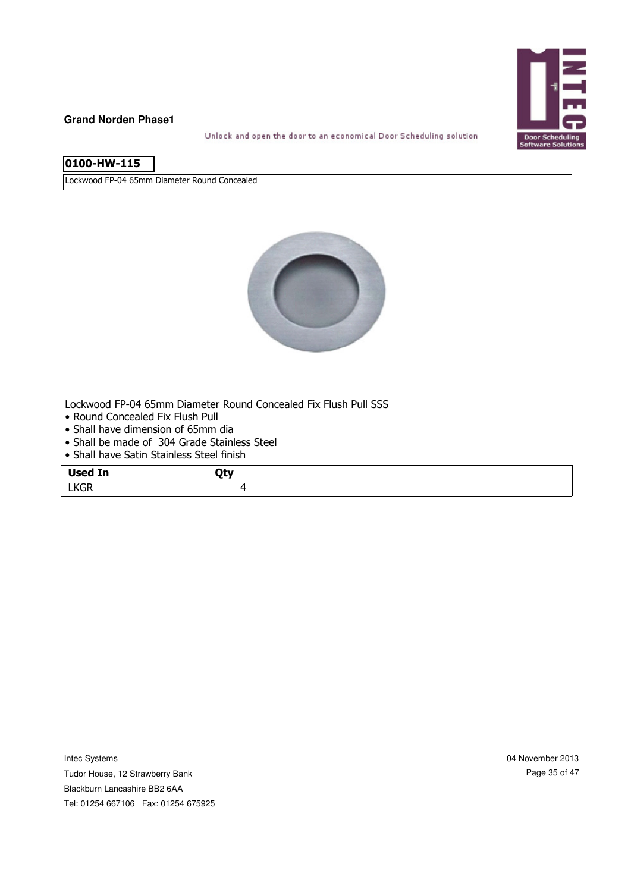

Unlock and open the door to an economical Door Scheduling solution

Lockwood FP-04 65mm Diameter Round Concealed



Lockwood FP-04 65mm Diameter Round Concealed Fix Flush Pull SSS

- Round Concealed Fix Flush Pull
- Shall have dimension of 65mm dia
- Shall be made of 304 Grade Stainless Steel
- Shall have Satin Stainless Steel finish

| <b>Used In</b> | ∩hv |  |
|----------------|-----|--|
| <b>LKGR</b>    |     |  |

Tudor House, 12 Strawberry Bank Blackburn Lancashire BB2 6AA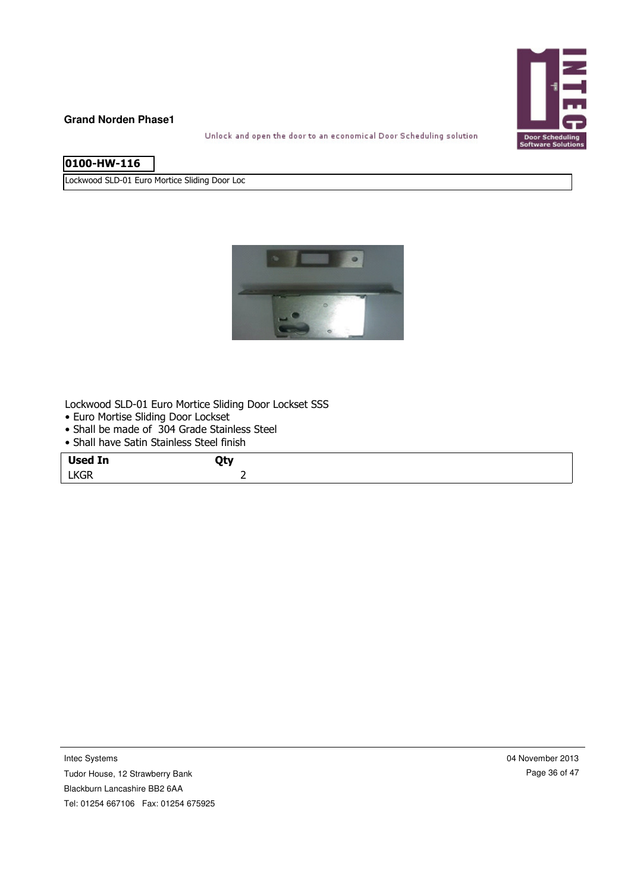

Unlock and open the door to an economical Door Scheduling solution

| 0100-HW-116 |  |
|-------------|--|
|             |  |
|             |  |

Lockwood SLD-01 Euro Mortice Sliding Door Loc



Lockwood SLD-01 Euro Mortice Sliding Door Lockset SSS

- Euro Mortise Sliding Door Lockset
- Shall be made of 304 Grade Stainless Steel • Shall have Satin Stainless Steel finish

| • Stidli lidve Sauli Stallliess Steel Hillsli |            |  |
|-----------------------------------------------|------------|--|
| <b>Used In</b>                                | <b>Qty</b> |  |
| <b>LKGR</b>                                   |            |  |

Tudor House, 12 Strawberry Bank Blackburn Lancashire BB2 6AA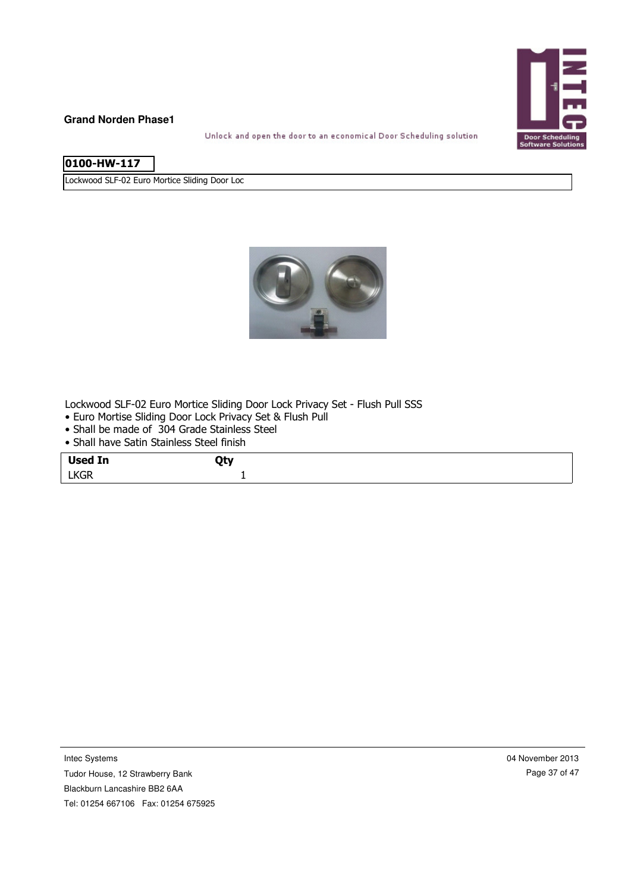

Unlock and open the door to an economical Door Scheduling solution

| l0100-HW-117 |  |
|--------------|--|

Lockwood SLF-02 Euro Mortice Sliding Door Loc



Lockwood SLF-02 Euro Mortice Sliding Door Lock Privacy Set - Flush Pull SSS

- Euro Mortise Sliding Door Lock Privacy Set & Flush Pull
- Shall be made of 304 Grade Stainless Steel
- Shall have Satin Stainless Steel finish

| <b>Used In</b> | Qty |
|----------------|-----|
| <b>LKGR</b>    |     |

Intec Systems

Tudor House, 12 Strawberry Bank Blackburn Lancashire BB2 6AA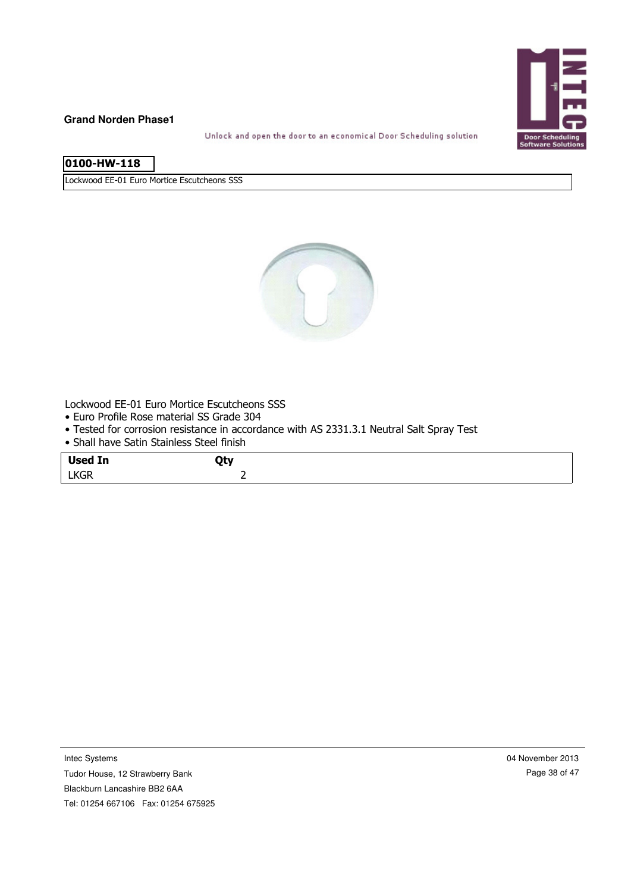

Unlock and open the door to an economical Door Scheduling solution

| 0100-HW-118 |  |
|-------------|--|

Lockwood EE-01 Euro Mortice Escutcheons SSS



Lockwood EE-01 Euro Mortice Escutcheons SSS

- Euro Profile Rose material SS Grade 304
- Tested for corrosion resistance in accordance with AS 2331.3.1 Neutral Salt Spray Test

|             | • Shall have Satin Stainless Steel finish |  |
|-------------|-------------------------------------------|--|
| Used In     | Qty                                       |  |
| <b>LKGR</b> |                                           |  |

Intec Systems

Tudor House, 12 Strawberry Bank Blackburn Lancashire BB2 6AA

Tel: 01254 667106 Fax: 01254 675925

04 November 2013 Page 38 of 47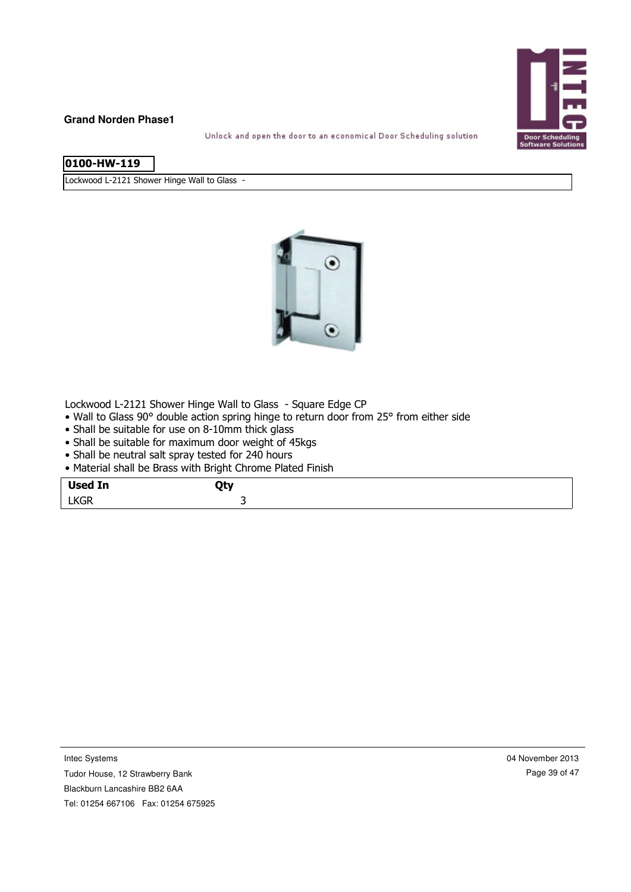

Unlock and open the door to an economical Door Scheduling solution

|  | l0100-HW-119 |
|--|--------------|

Lockwood L-2121 Shower Hinge Wall to Glass -



Lockwood L-2121 Shower Hinge Wall to Glass - Square Edge CP

- Wall to Glass 90° double action spring hinge to return door from 25° from either side
- Shall be suitable for use on 8-10mm thick glass
- Shall be suitable for maximum door weight of 45kgs
- Shall be neutral salt spray tested for 240 hours
- Material shall be Brass with Bright Chrome Plated Finish

| <b>Used In</b> | ∩tv |
|----------------|-----|
| <b>LKGR</b>    | ້   |

Tudor House, 12 Strawberry Bank Blackburn Lancashire BB2 6AA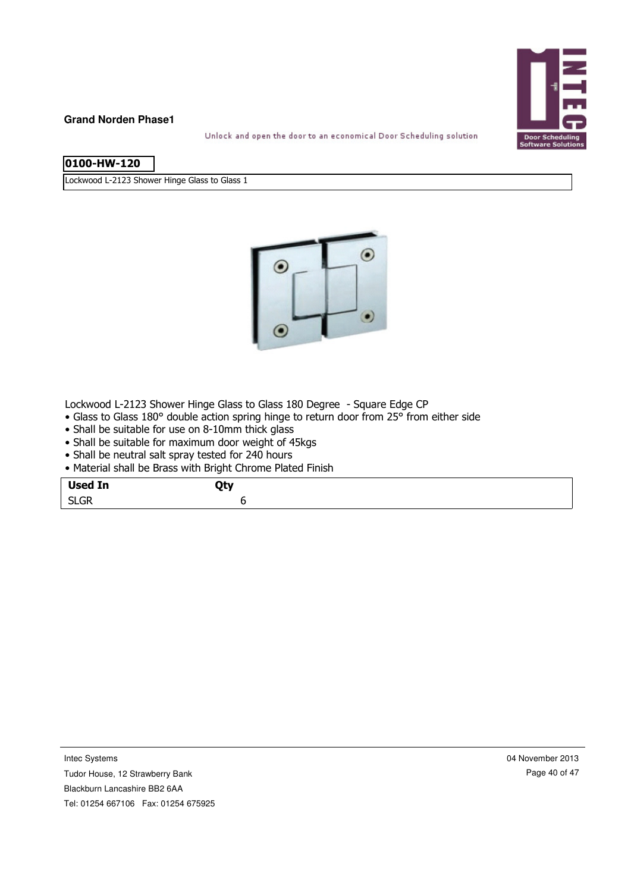

Unlock and open the door to an economical Door Scheduling solution

| l0100-HW-120 |  |
|--------------|--|
|              |  |

Lockwood L-2123 Shower Hinge Glass to Glass 1



Lockwood L-2123 Shower Hinge Glass to Glass 180 Degree - Square Edge CP

- Glass to Glass 180° double action spring hinge to return door from 25° from either side
- Shall be suitable for use on 8-10mm thick glass
- Shall be suitable for maximum door weight of 45kgs
- Shall be neutral salt spray tested for 240 hours
- Material shall be Brass with Bright Chrome Plated Finish

| Qty<br>. - 1 |
|--------------|
|              |
|              |

Tudor House, 12 Strawberry Bank Blackburn Lancashire BB2 6AA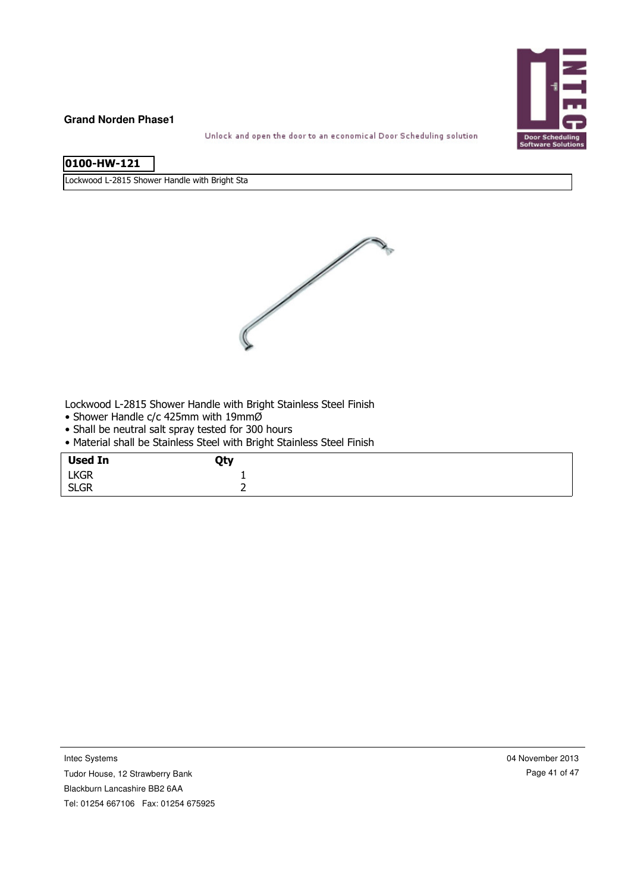

Unlock and open the door to an economical Door Scheduling solution

| 0100-HW-121 |
|-------------|
|-------------|

Lockwood L-2815 Shower Handle with Bright Sta



Lockwood L-2815 Shower Handle with Bright Stainless Steel Finish

- Shower Handle c/c 425mm with 19mmØ
- Shall be neutral salt spray tested for 300 hours
- Material shall be Stainless Steel with Bright Stainless Steel Finish

| <b>Used In</b> | Qty |
|----------------|-----|
| <b>LKGR</b>    |     |
| <b>SLGR</b>    | -   |

Intec Systems

Tudor House, 12 Strawberry Bank

Blackburn Lancashire BB2 6AA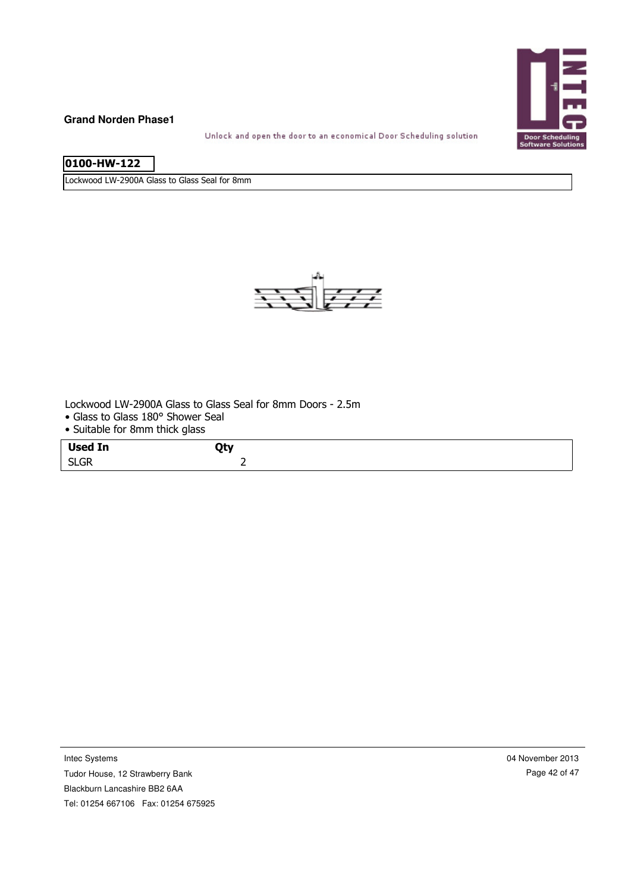

Unlock and open the door to an economical Door Scheduling solution

| 0100-HW-122 |
|-------------|
|             |

Lockwood LW-2900A Glass to Glass Seal for 8mm



Lockwood LW-2900A Glass to Glass Seal for 8mm Doors - 2.5m

- Glass to Glass 180° Shower Seal
- Suitable for 8mm thick glass

| <b>Used In</b>              | <b>AL.</b> |  |
|-----------------------------|------------|--|
| $\sim$<br>~~<br><b>DLUK</b> | -          |  |

Intec Systems

Tudor House, 12 Strawberry Bank Blackburn Lancashire BB2 6AA Tel: 01254 667106 Fax: 01254 675925 04 November 2013 Page 42 of 47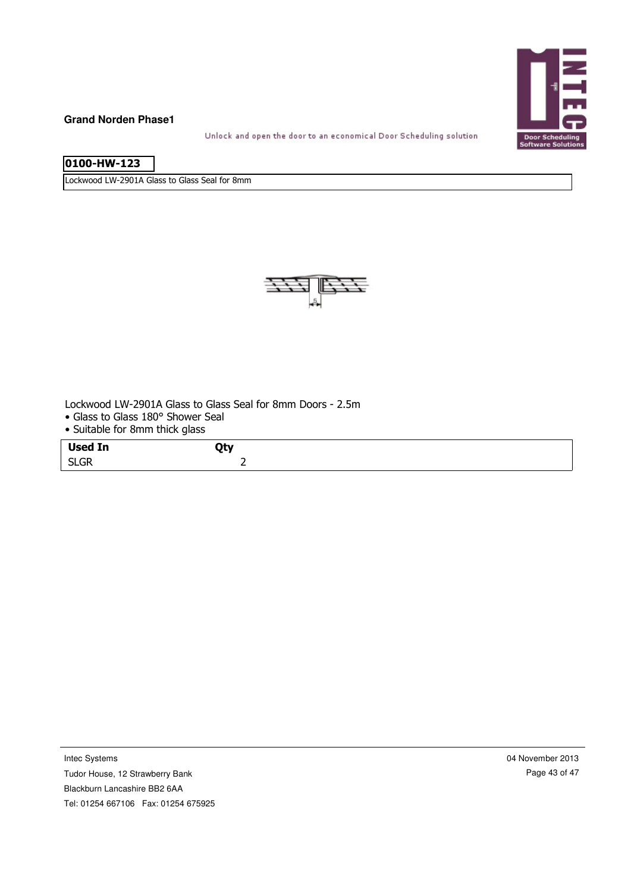

Unlock and open the door to an economical Door Scheduling solution

| 0100-HW-123 |
|-------------|
|             |
|             |
|             |
|             |

Lockwood LW-2901A Glass to Glass Seal for 8mm



Lockwood LW-2901A Glass to Glass Seal for 8mm Doors - 2.5m

- Glass to Glass 180° Shower Seal
- Suitable for 8mm thick glass

| <b>Used In</b>                  | <b>AL.</b> |  |
|---------------------------------|------------|--|
| $\sim$<br>$\sim$<br><b>SLGK</b> |            |  |

Intec Systems

Tudor House, 12 Strawberry Bank Blackburn Lancashire BB2 6AA Tel: 01254 667106 Fax: 01254 675925 04 November 2013 Page 43 of 47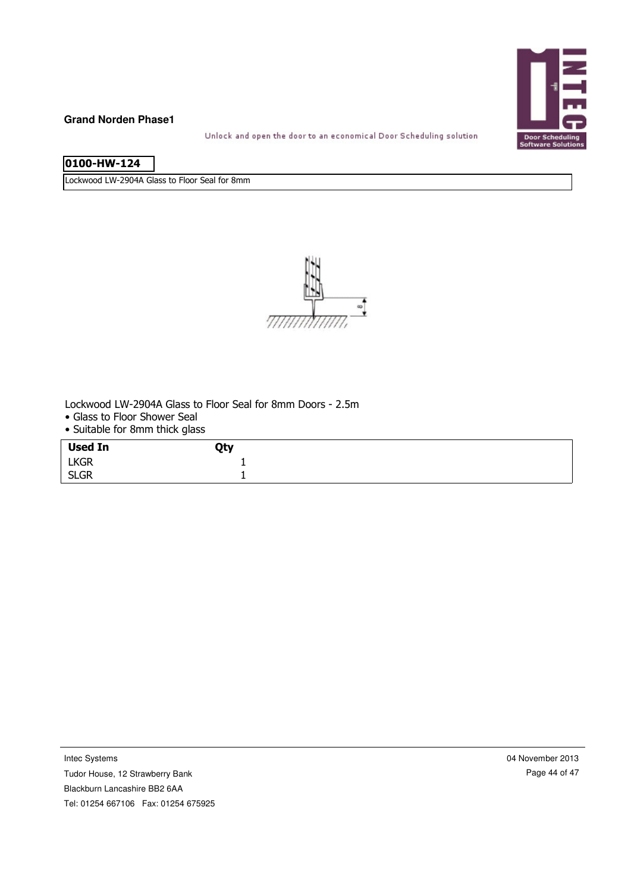

Unlock and open the door to an economical Door Scheduling solution

| 0100-HW-124 |
|-------------|
|-------------|

Lockwood LW-2904A Glass to Floor Seal for 8mm



Lockwood LW-2904A Glass to Floor Seal for 8mm Doors - 2.5m

- Glass to Floor Shower Seal
- Suitable for 8mm thick glass

| <b>Used In</b> | Qty |  |
|----------------|-----|--|
| <b>LKGR</b>    | -   |  |
| <b>SLGR</b>    |     |  |

Intec Systems

Tudor House, 12 Strawberry Bank Blackburn Lancashire BB2 6AA

04 November 2013 Page 44 of 47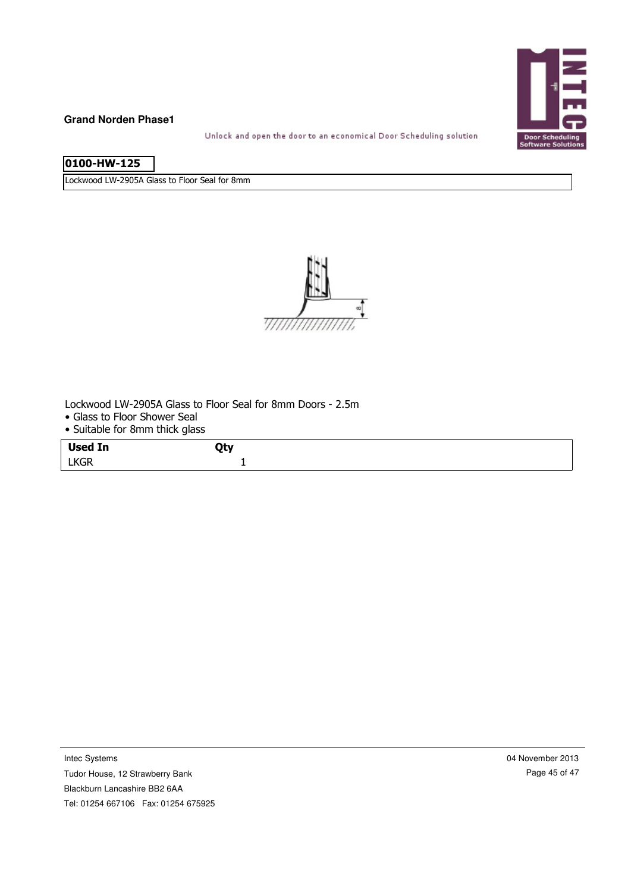

Unlock and open the door to an economical Door Scheduling solution

| 0100-HW-125 |  |
|-------------|--|
|             |  |

Lockwood LW-2905A Glass to Floor Seal for 8mm



Lockwood LW-2905A Glass to Floor Seal for 8mm Doors - 2.5m

- Glass to Floor Shower Seal
- Suitable for 8mm thick glass

| <b>Used In</b><br>. <b>. .</b> | <b>AL.</b> |
|--------------------------------|------------|
| <b>LKGR</b>                    |            |

Tudor House, 12 Strawberry Bank Blackburn Lancashire BB2 6AA Tel: 01254 667106 Fax: 01254 675925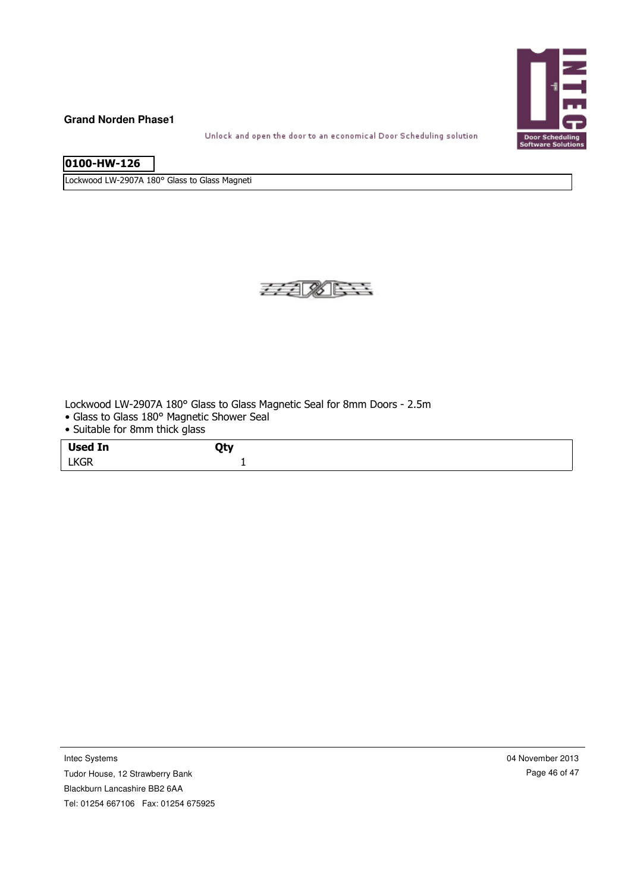

Unlock and open the door to an economical Door Scheduling solution

| 0100-HW-126 |  |
|-------------|--|
|             |  |
|             |  |
|             |  |

Lockwood LW-2907A 180° Glass to Glass Magneti



Lockwood LW-2907A 180° Glass to Glass Magnetic Seal for 8mm Doors - 2.5m

- Glass to Glass 180° Magnetic Shower Seal
- Suitable for 8mm thick glass

| <b>Used In</b> | $\mathbf{A}$<br>- . |
|----------------|---------------------|
| <b>LKGR</b>    |                     |

Intec Systems

Tudor House, 12 Strawberry Bank Blackburn Lancashire BB2 6AA Tel: 01254 667106 Fax: 01254 675925 04 November 2013 Page 46 of 47